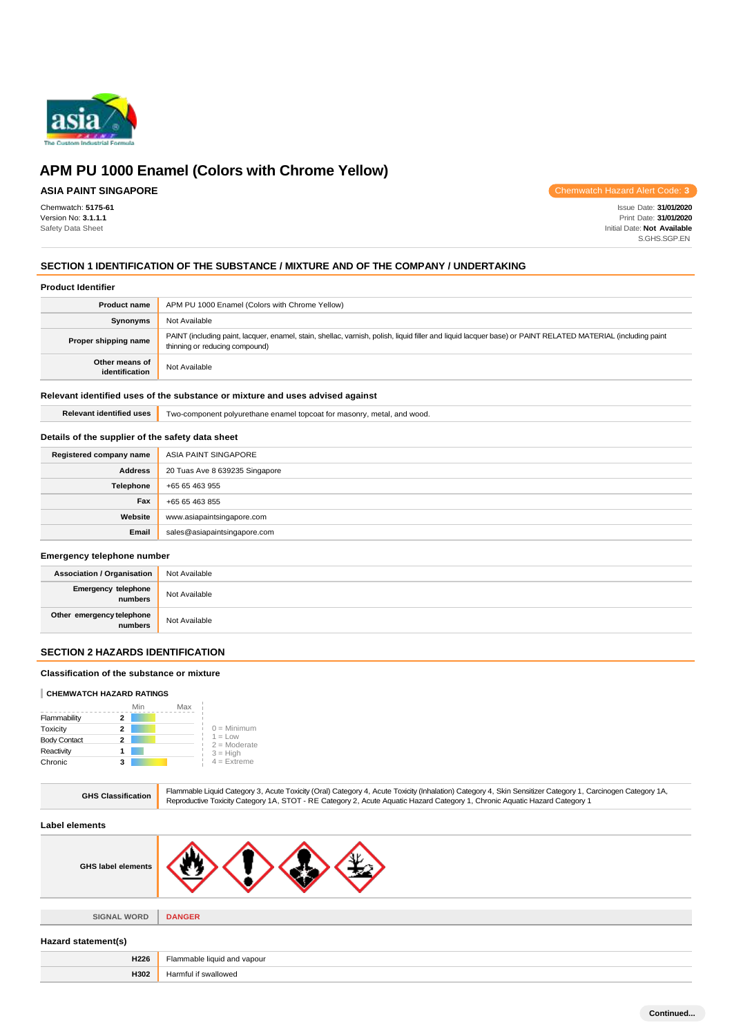

# **ASIA PAINT SINGAPORE**

Chemwatch: **5175-61** Version No: **3.1.1.1** Safety Data Sheet

Chemwatch Hazard Alert Code: **3**

Issue Date: **31/01/2020** Print Date: **31/01/2020** Initial Date: **Not Available** S.GHS.SGP.EN

### **SECTION 1 IDENTIFICATION OF THE SUBSTANCE / MIXTURE AND OF THE COMPANY / UNDERTAKING**

### **Product Identifier**

| <b>Product name</b>              | APM PU 1000 Enamel (Colors with Chrome Yellow)                                                                                                                                                |
|----------------------------------|-----------------------------------------------------------------------------------------------------------------------------------------------------------------------------------------------|
| Synonyms                         | Not Available                                                                                                                                                                                 |
| Proper shipping name             | PAINT (including paint, lacquer, enamel, stain, shellac, varnish, polish, liquid filler and liquid lacquer base) or PAINT RELATED MATERIAL (including paint<br>thinning or reducing compound) |
| Other means of<br>identification | Not Available                                                                                                                                                                                 |

### **Relevant identified uses of the substance or mixture and uses advised against**

**Relevant identified uses** Two-component polyurethane enamel topcoat for masonry, metal, and wood.

### **Details of the supplier of the safety data sheet**

| Registered company name | ASIA PAINT SINGAPORE           |
|-------------------------|--------------------------------|
| <b>Address</b>          | 20 Tuas Ave 8 639235 Singapore |
| Telephone               | +65 65 463 955                 |
| Fax                     | +65 65 463 855                 |
| Website                 | www.asiapaintsingapore.com     |
| Email                   | sales@asiapaintsingapore.com   |

#### **Emergency telephone number**

| <b>Association / Organisation</b>    | Not Available |
|--------------------------------------|---------------|
| Emergency telephone<br>numbers       | Not Available |
| Other emergency telephone<br>numbers | Not Available |

### **SECTION 2 HAZARDS IDENTIFICATION**

#### **Classification of the substance or mixture**

#### **CHEMWATCH HAZARD RATINGS**

|                     | Min | Max |                             |
|---------------------|-----|-----|-----------------------------|
| Flammability        |     |     |                             |
| Toxicity            | 2   |     | $0 =$ Minimum               |
| <b>Body Contact</b> | 2   |     | $1 = Low$<br>$2 =$ Moderate |
| Reactivity          |     |     | $3 = High$                  |
| Chronic             | 3   |     | $4 =$ Extreme               |

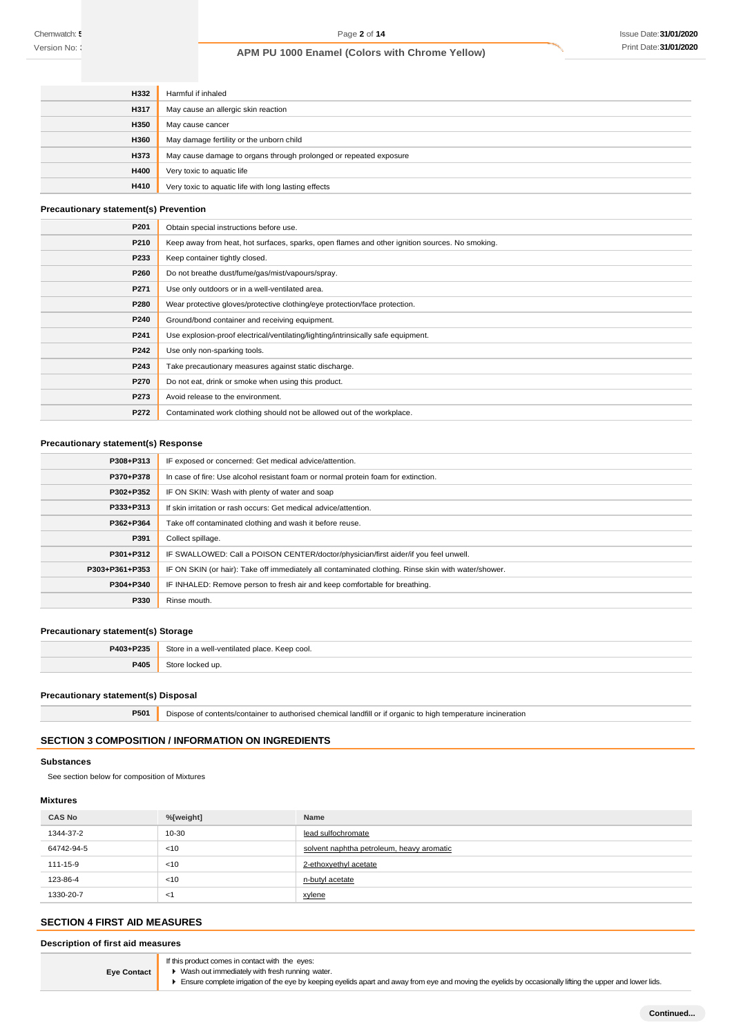Chemwatch:  $\xi$ Version No: **3** 

# **APM PU 1000 Enamel (Colors with Chrome Yellow)**

| H332        | Harmful if inhaled                                                |
|-------------|-------------------------------------------------------------------|
| <b>H317</b> | May cause an allergic skin reaction                               |
| <b>H350</b> | May cause cancer                                                  |
| <b>H360</b> | May damage fertility or the unborn child                          |
| H373        | May cause damage to organs through prolonged or repeated exposure |
| <b>H400</b> | Very toxic to aquatic life                                        |
| <b>H410</b> | Very toxic to aquatic life with long lasting effects              |

# **Precautionary statement(s) Prevention**

| P201 | Obtain special instructions before use.                                                        |
|------|------------------------------------------------------------------------------------------------|
| P210 | Keep away from heat, hot surfaces, sparks, open flames and other ignition sources. No smoking. |
| P233 | Keep container tightly closed.                                                                 |
| P260 | Do not breathe dust/fume/gas/mist/vapours/spray.                                               |
| P271 | Use only outdoors or in a well-ventilated area.                                                |
| P280 | Wear protective gloves/protective clothing/eye protection/face protection.                     |
| P240 | Ground/bond container and receiving equipment.                                                 |
| P241 | Use explosion-proof electrical/ventilating/lighting/intrinsically safe equipment.              |
| P242 | Use only non-sparking tools.                                                                   |
| P243 | Take precautionary measures against static discharge.                                          |
| P270 | Do not eat, drink or smoke when using this product.                                            |
| P273 | Avoid release to the environment.                                                              |
| P272 | Contaminated work clothing should not be allowed out of the workplace.                         |

### **Precautionary statement(s) Response**

| P308+P313      | IF exposed or concerned: Get medical advice/attention.                                              |
|----------------|-----------------------------------------------------------------------------------------------------|
| P370+P378      | In case of fire: Use alcohol resistant foam or normal protein foam for extinction.                  |
| P302+P352      | IF ON SKIN: Wash with plenty of water and soap                                                      |
| P333+P313      | If skin irritation or rash occurs: Get medical advice/attention.                                    |
| P362+P364      | Take off contaminated clothing and wash it before reuse.                                            |
| P391           | Collect spillage.                                                                                   |
| P301+P312      | IF SWALLOWED: Call a POISON CENTER/doctor/physician/first aider/if you feel unwell.                 |
| P303+P361+P353 | IF ON SKIN (or hair): Take off immediately all contaminated clothing. Rinse skin with water/shower. |
| P304+P340      | IF INHALED: Remove person to fresh air and keep comfortable for breathing.                          |
| P330           | Rinse mouth.                                                                                        |
|                |                                                                                                     |

#### **Precautionary statement(s) Storage**

| P403+P235 | Store in a well-ventilated place. Keep cool. |
|-----------|----------------------------------------------|
| P405      | Store locked up.                             |

### **Precautionary statement(s) Disposal**

**P501** Dispose of contents/container to authorised chemical landfill or if organic to high temperature incineration

# **SECTION 3 COMPOSITION / INFORMATION ON INGREDIENTS**

### **Substances**

See section below for composition of Mixtures

### **Mixtures**

| <b>CAS No</b> | %[weight] | <b>Name</b>                               |
|---------------|-----------|-------------------------------------------|
| 1344-37-2     | $10 - 30$ | lead sulfochromate                        |
| 64742-94-5    | < 10      | solvent naphtha petroleum, heavy aromatic |
| 111-15-9      | < 10      | 2-ethoxyethyl acetate                     |
| 123-86-4      | < 10      | n-butyl acetate                           |
| 1330-20-7     | -1        | xylene                                    |

# **SECTION 4 FIRST AID MEASURES**

**Description of first aid measures**

**Eye Contact**

If this product comes in contact with the eyes:

■ Wash out immediately with fresh running water.

Ensure complete irrigation of the eye by keeping eyelids apart and away from eye and moving the eyelids by occasionally lifting the upper and lower lids.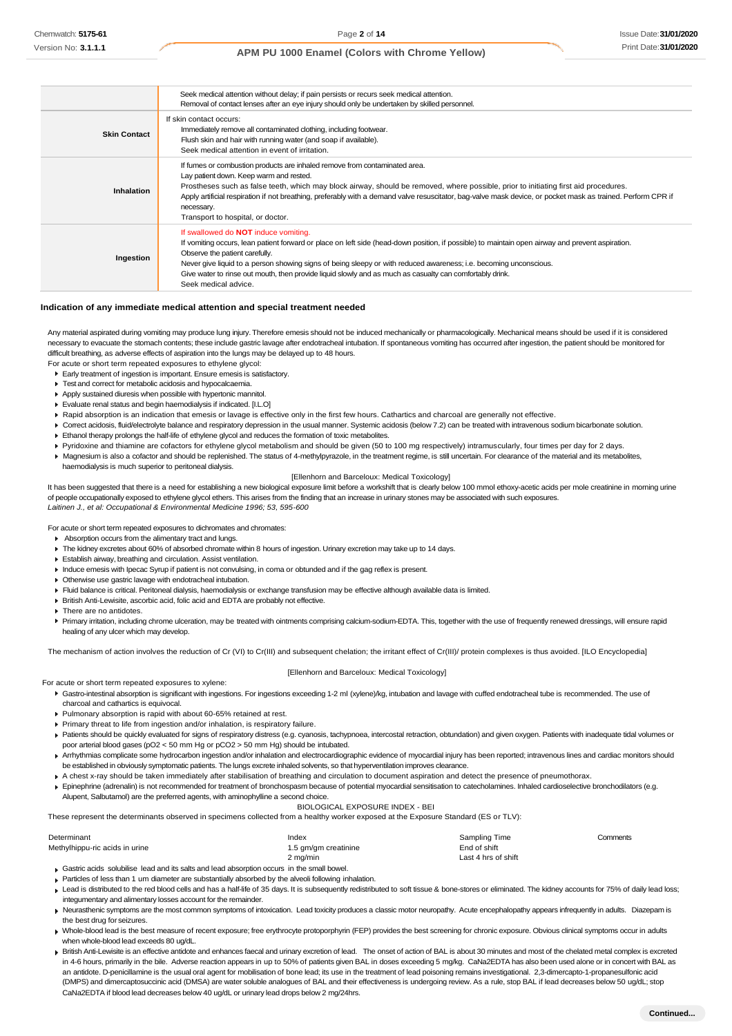|                     | Seek medical attention without delay; if pain persists or recurs seek medical attention.<br>Removal of contact lenses after an eye injury should only be undertaken by skilled personnel.                                                                                                                                                                                                                                                                                                  |
|---------------------|--------------------------------------------------------------------------------------------------------------------------------------------------------------------------------------------------------------------------------------------------------------------------------------------------------------------------------------------------------------------------------------------------------------------------------------------------------------------------------------------|
| <b>Skin Contact</b> | If skin contact occurs:<br>Immediately remove all contaminated clothing, including footwear.<br>Flush skin and hair with running water (and soap if available).<br>Seek medical attention in event of irritation.                                                                                                                                                                                                                                                                          |
| Inhalation          | If fumes or combustion products are inhaled remove from contaminated area.<br>Lay patient down. Keep warm and rested.<br>Prostheses such as false teeth, which may block airway, should be removed, where possible, prior to initiating first aid procedures.<br>Apply artificial respiration if not breathing, preferably with a demand valve resuscitator, bag-valve mask device, or pocket mask as trained. Perform CPR if<br>necessary.<br>Transport to hospital, or doctor.           |
| Ingestion           | If swallowed do <b>NOT</b> induce vomiting.<br>If vomiting occurs, lean patient forward or place on left side (head-down position, if possible) to maintain open airway and prevent aspiration.<br>Observe the patient carefully.<br>Never give liquid to a person showing signs of being sleepy or with reduced awareness; i.e. becoming unconscious.<br>Give water to rinse out mouth, then provide liquid slowly and as much as casualty can comfortably drink.<br>Seek medical advice. |

#### **Indication of any immediate medical attention and special treatment needed**

Any material aspirated during vomiting may produce lung injury. Therefore emesis should not be induced mechanically or pharmacologically. Mechanical means should be used if it is considered necessary to evacuate the stomach contents; these include gastric lavage after endotracheal intubation. If spontaneous vomiting has occurred after ingestion, the patient should be monitored for difficult breathing, as adverse effects of aspiration into the lungs may be delayed up to 48 hours.

For acute or short term repeated exposures to ethylene glycol:

- Early treatment of ingestion is important. Ensure emesis is satisfactory.
- Test and correct for metabolic acidosis and hypocalcaemia.
- Apply sustained diuresis when possible with hypertonic mannitol.
- Evaluate renal status and begin haemodialysis if indicated. [I.L.O]
- 
- Rapid absorption is an indication that emesis or lavage is effective only in the first few hours. Cathartics and charcoal are generally not effective.
- Correct acidosis, fluid/electrolyte balance and respiratory depression in the usual manner. Systemic acidosis (below 7.2) can be treated with intravenous sodium bicarbonate solution. Ethanol therapy prolongs the half-life of ethylene glycol and reduces the formation of toxic metabolites.
- 
- Pyridoxine and thiamine are cofactors for ethylene glycol metabolism and should be given (50 to 100 mg respectively) intramuscularly, four times per day for 2 days.
- Magnesium is also a cofactor and should be replenished. The status of 4-methylpyrazole, in the treatment regime, is still uncertain. For clearance of the material and its metabolites, haemodialysis is much superior to peritoneal dialysis.

#### [Ellenhorn and Barceloux: Medical Toxicology]

It has been suggested that there is a need for establishing a new biological exposure limit before a workshift that is clearly below 100 mmol ethoxy-acetic acids per mole creatinine in morning urine of people occupationally exposed to ethylene glycol ethers. This arises from the finding that an increase in urinary stones may be associated with such exposures. *Laitinen J., et al: Occupational & Environmental Medicine 1996; 53, 595-600*

For acute or short term repeated exposures to dichromates and chromates:

- Absorption occurs from the alimentary tract and lungs.
- The kidney excretes about 60% of absorbed chromate within 8 hours of ingestion. Urinary excretion may take up to 14 days.
- Establish airway, breathing and circulation. Assist ventilation.
- Induce emesis with Ipecac Syrup if patient is not convulsing, in coma or obtunded and if the gag reflex is present.
- Otherwise use gastric lavage with endotracheal intubation.
- Fluid balance is critical. Peritoneal dialysis, haemodialysis or exchange transfusion may be effective although available data is limited.
- British Anti-Lewisite, ascorbic acid, folic acid and EDTA are probably not effective.
- ▶ There are no antidotes
- Primary irritation, including chrome ulceration, may be treated with ointments comprising calcium-sodium-EDTA. This, together with the use of frequently renewed dressings, will ensure rapid healing of any ulcer which may develop.

The mechanism of action involves the reduction of Cr (VI) to Cr(III) and subsequent chelation; the irritant effect of Cr(III)/ protein complexes is thus avoided. [ILO Encyclopedia]

#### [Ellenhorn and Barceloux: Medical Toxicology]

For acute or short term repeated exposures to xylene:

- Gastro-intestinal absorption is significant with ingestions. For ingestions exceeding 1-2 ml (xylene)/kg, intubation and lavage with cuffed endotracheal tube is recommended. The use of charcoal and cathartics is equivocal.
- Pulmonary absorption is rapid with about 60-65% retained at rest.
- Primary threat to life from ingestion and/or inhalation, is respiratory failure.
- ▶ Patients should be quickly evaluated for signs of respiratory distress (e.g. cyanosis, tachypnoea, intercostal retraction, obtundation) and given oxygen. Patients with inadequate tidal volumes or poor arterial blood gases (pO2 < 50 mm Hg or pCO2 > 50 mm Hg) should be intubated.
- Arrhythmias complicate some hydrocarbon ingestion and/or inhalation and electrocardiographic evidence of myocardial injury has been reported; intravenous lines and cardiac monitors should be established in obviously symptomatic patients. The lungs excrete inhaled solvents, so that hyperventilation improves clearance
- A chest x-ray should be taken immediately after stabilisation of breathing and circulation to document aspiration and detect the presence of pneumothorax.
- Epinephrine (adrenalin) is not recommended for treatment of bronchospasm because of potential myocardial sensitisation to catecholamines. Inhaled cardioselective bronchodilators (e.g. Alupent, Salbutamol) are the preferred agents, with aminophylline a second choice.

BIOLOGICAL EXPOSURE INDEX - BEI

These represent the determinants observed in specimens collected from a healthy worker exposed at the Exposure Standard (ES or TLV):

| Determinant                                                                                | Index                | Sampling Time       | Comments |
|--------------------------------------------------------------------------------------------|----------------------|---------------------|----------|
| Methylhippu-ric acids in urine                                                             | 1.5 gm/gm creatinine | End of shift        |          |
|                                                                                            | 2 mg/min             | Last 4 hrs of shift |          |
| Gastric acids solubilise lead and its salts and lead absorption occurs in the small bowel. |                      |                     |          |

- Particles of less than 1 um diameter are substantially absorbed by the alveoli following inhalation. Lead is distributed to the red blood cells and has a half-life of 35 days. It is subsequently redistributed to soft tissue & bone-stores or eliminated. The kidney accounts for 75% of daily lead loss; integumentary and alimentary losses account for the remainder.
- Keurasthenic symptoms are the most common symptoms of intoxication. Lead toxicity produces a classic motor neuropathy. Acute encephalopathy appears infrequently in adults. Diazepam is the best drug for seizures.
- Whole-blood lead is the best measure of recent exposure; free erythrocyte protoporphyrin (FEP) provides the best screening for chronic exposure. Obvious clinical symptoms occur in adults when whole-blood lead exceeds 80 ug/dL.
- British Anti-Lewisite is an effective antidote and enhances faecal and urinary excretion of lead. The onset of action of BAL is about 30 minutes and most of the chelated metal complex is excreted in 4-6 hours, primarily in the bile. Adverse reaction appears in up to 50% of patients given BAL in doses exceeding 5 mg/kg. CaNa2EDTA has also been used alone or in concert with BAL as an antidote. D-penicillamine is the usual oral agent for mobilisation of bone lead; its use in the treatment of lead poisoning remains investigational. 2,3-dimercapto-1-propanesulfonic acid (DMPS) and dimercaptosuccinic acid (DMSA) are water soluble analogues of BAL and their effectiveness is undergoing review. As a rule, stop BAL if lead decreases below 50 ug/dL; stop CaNa2EDTA if blood lead decreases below 40 ug/dL or urinary lead drops below 2 mg/24hrs.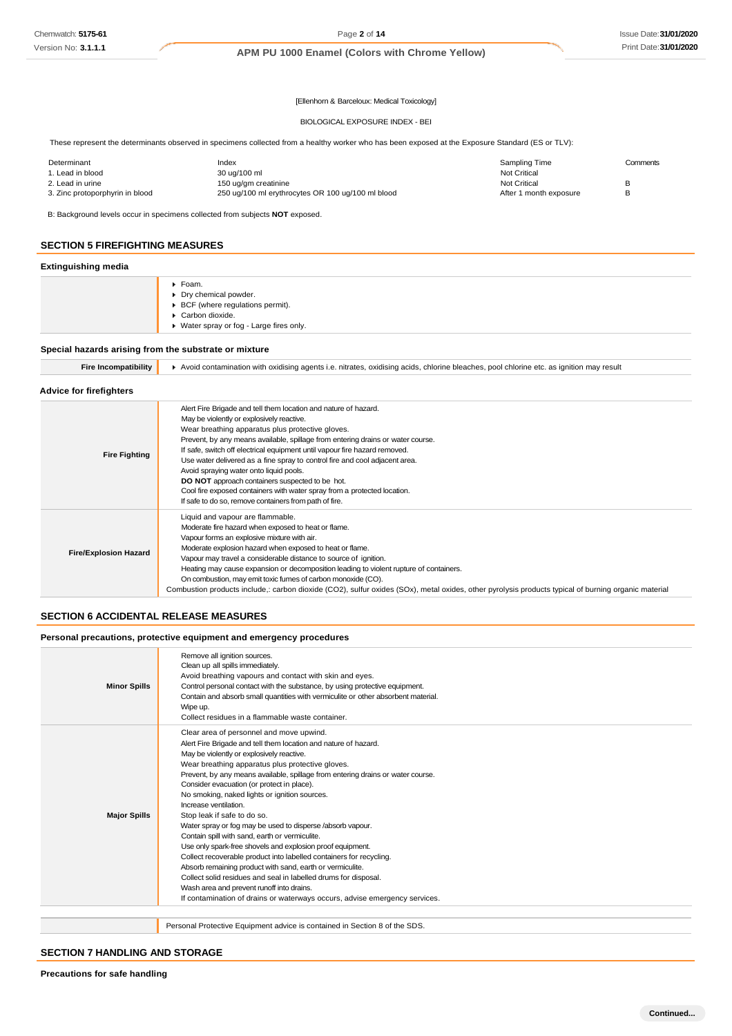[Ellenhorn & Barceloux: Medical Toxicology]

#### BIOLOGICAL EXPOSURE INDEX - BEI

These represent the determinants observed in specimens collected from a healthy worker who has been exposed at the Exposure Standard (ES or TLV):

| Determinant                     | Index                                             | Sampling Time          | Comments |
|---------------------------------|---------------------------------------------------|------------------------|----------|
| 1. Lead in blood                | 30 ug/100 ml                                      | <b>Not Critical</b>    |          |
| 2. Lead in urine                | 150 ug/gm creatinine                              | <b>Not Critical</b>    |          |
| 3. Zinc protoporphyrin in blood | 250 ug/100 ml erythrocytes OR 100 ug/100 ml blood | After 1 month exposure |          |

B: Background levels occur in specimens collected from subjects **NOT** exposed.

### **SECTION 5 FIREFIGHTING MEASURES**

### **Extinguishing media**

| . .<br>. . |                                                                                                                                       |
|------------|---------------------------------------------------------------------------------------------------------------------------------------|
|            | ▶ Foam.<br>▶ Dry chemical powder.<br>▶ BCF (where regulations permit).<br>Carbon dioxide.<br>▶ Water spray or fog - Large fires only. |
|            |                                                                                                                                       |

### **Special hazards arising from the substrate or mixture**

| <b>Fire Incompatibility</b> |
|-----------------------------|
|-----------------------------|

**Fire Incompatibility** Avoid contamination with oxidising agents i.e. nitrates, oxidising acids, chlorine bleaches, pool chlorine etc. as ignition may result

### **Advice for firefighters**

| <b>Fire Fighting</b>         | Alert Fire Brigade and tell them location and nature of hazard.<br>May be violently or explosively reactive.<br>Wear breathing apparatus plus protective gloves.<br>Prevent, by any means available, spillage from entering drains or water course.<br>If safe, switch off electrical equipment until vapour fire hazard removed.                                                                                                                                                                                                                                                       |
|------------------------------|-----------------------------------------------------------------------------------------------------------------------------------------------------------------------------------------------------------------------------------------------------------------------------------------------------------------------------------------------------------------------------------------------------------------------------------------------------------------------------------------------------------------------------------------------------------------------------------------|
|                              | Use water delivered as a fine spray to control fire and cool adjacent area.<br>Avoid spraying water onto liquid pools.<br><b>DO NOT</b> approach containers suspected to be hot.<br>Cool fire exposed containers with water spray from a protected location.<br>If safe to do so, remove containers from path of fire.                                                                                                                                                                                                                                                                  |
| <b>Fire/Explosion Hazard</b> | Liquid and vapour are flammable.<br>Moderate fire hazard when exposed to heat or flame.<br>Vapour forms an explosive mixture with air.<br>Moderate explosion hazard when exposed to heat or flame.<br>Vapour may travel a considerable distance to source of ignition.<br>Heating may cause expansion or decomposition leading to violent rupture of containers.<br>On combustion, may emit toxic fumes of carbon monoxide (CO).<br>Combustion products include,: carbon dioxide (CO2), sulfur oxides (SOx), metal oxides, other pyrolysis products typical of burning organic material |

### **SECTION 6 ACCIDENTAL RELEASE MEASURES**

### **Personal precautions, protective equipment and emergency procedures**

| Clear area of personnel and move upwind.<br>Alert Fire Brigade and tell them location and nature of hazard.<br>May be violently or explosively reactive.<br>Wear breathing apparatus plus protective gloves.<br>Prevent, by any means available, spillage from entering drains or water course.<br>Consider evacuation (or protect in place).<br>No smoking, naked lights or ignition sources.<br>Increase ventilation.<br><b>Major Spills</b><br>Stop leak if safe to do so.<br>Water spray or fog may be used to disperse /absorb vapour.<br>Contain spill with sand, earth or vermiculite.<br>Use only spark-free shovels and explosion proof equipment.<br>Collect recoverable product into labelled containers for recycling.<br>Absorb remaining product with sand, earth or vermiculite.<br>Collect solid residues and seal in labelled drums for disposal.<br>Wash area and prevent runoff into drains.<br>If contamination of drains or waterways occurs, advise emergency services.<br>Personal Protective Equipment advice is contained in Section 8 of the SDS. | <b>Minor Spills</b> | Remove all ignition sources.<br>Clean up all spills immediately.<br>Avoid breathing vapours and contact with skin and eyes.<br>Control personal contact with the substance, by using protective equipment.<br>Contain and absorb small quantities with vermiculite or other absorbent material.<br>Wipe up.<br>Collect residues in a flammable waste container. |
|-----------------------------------------------------------------------------------------------------------------------------------------------------------------------------------------------------------------------------------------------------------------------------------------------------------------------------------------------------------------------------------------------------------------------------------------------------------------------------------------------------------------------------------------------------------------------------------------------------------------------------------------------------------------------------------------------------------------------------------------------------------------------------------------------------------------------------------------------------------------------------------------------------------------------------------------------------------------------------------------------------------------------------------------------------------------------------|---------------------|-----------------------------------------------------------------------------------------------------------------------------------------------------------------------------------------------------------------------------------------------------------------------------------------------------------------------------------------------------------------|
|                                                                                                                                                                                                                                                                                                                                                                                                                                                                                                                                                                                                                                                                                                                                                                                                                                                                                                                                                                                                                                                                             |                     |                                                                                                                                                                                                                                                                                                                                                                 |
|                                                                                                                                                                                                                                                                                                                                                                                                                                                                                                                                                                                                                                                                                                                                                                                                                                                                                                                                                                                                                                                                             |                     |                                                                                                                                                                                                                                                                                                                                                                 |

### **SECTION 7 HANDLING AND STORAGE**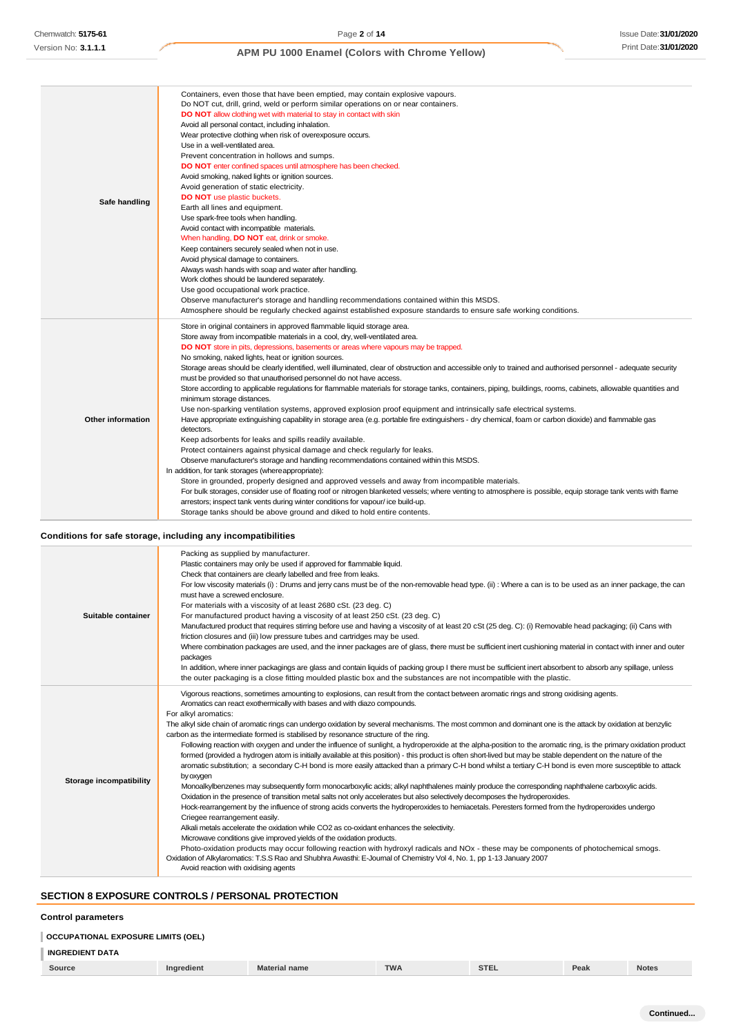| Safe handling            | Containers, even those that have been emptied, may contain explosive vapours.<br>Do NOT cut, drill, grind, weld or perform similar operations on or near containers.<br>DO NOT allow clothing wet with material to stay in contact with skin<br>Avoid all personal contact, including inhalation.<br>Wear protective clothing when risk of overexposure occurs.<br>Use in a well-ventilated area.<br>Prevent concentration in hollows and sumps.<br>DO NOT enter confined spaces until atmosphere has been checked.<br>Avoid smoking, naked lights or ignition sources.<br>Avoid generation of static electricity.<br><b>DO NOT</b> use plastic buckets.<br>Earth all lines and equipment.<br>Use spark-free tools when handling.<br>Avoid contact with incompatible materials.<br>When handling, DO NOT eat, drink or smoke.<br>Keep containers securely sealed when not in use.<br>Avoid physical damage to containers.<br>Always wash hands with soap and water after handling.<br>Work clothes should be laundered separately.<br>Use good occupational work practice.<br>Observe manufacturer's storage and handling recommendations contained within this MSDS.<br>Atmosphere should be regularly checked against established exposure standards to ensure safe working conditions.                                                                                                                                                                                                                                                                                                                                                                                                                                                                              |
|--------------------------|------------------------------------------------------------------------------------------------------------------------------------------------------------------------------------------------------------------------------------------------------------------------------------------------------------------------------------------------------------------------------------------------------------------------------------------------------------------------------------------------------------------------------------------------------------------------------------------------------------------------------------------------------------------------------------------------------------------------------------------------------------------------------------------------------------------------------------------------------------------------------------------------------------------------------------------------------------------------------------------------------------------------------------------------------------------------------------------------------------------------------------------------------------------------------------------------------------------------------------------------------------------------------------------------------------------------------------------------------------------------------------------------------------------------------------------------------------------------------------------------------------------------------------------------------------------------------------------------------------------------------------------------------------------------------------------------------------------------------------------------------------------------|
| <b>Other information</b> | Store in original containers in approved flammable liquid storage area.<br>Store away from incompatible materials in a cool, dry, well-ventilated area.<br>DO NOT store in pits, depressions, basements or areas where vapours may be trapped.<br>No smoking, naked lights, heat or ignition sources.<br>Storage areas should be clearly identified, well illuminated, clear of obstruction and accessible only to trained and authorised personnel - adequate security<br>must be provided so that unauthorised personnel do not have access.<br>Store according to applicable regulations for flammable materials for storage tanks, containers, piping, buildings, rooms, cabinets, allowable quantities and<br>minimum storage distances.<br>Use non-sparking ventilation systems, approved explosion proof equipment and intrinsically safe electrical systems.<br>Have appropriate extinguishing capability in storage area (e.g. portable fire extinguishers - dry chemical, foam or carbon dioxide) and flammable gas<br>detectors.<br>Keep adsorbents for leaks and spills readily available.<br>Protect containers against physical damage and check regularly for leaks.<br>Observe manufacturer's storage and handling recommendations contained within this MSDS.<br>In addition, for tank storages (where appropriate):<br>Store in grounded, properly designed and approved vessels and away from incompatible materials.<br>For bulk storages, consider use of floating roof or nitrogen blanketed vessels; where venting to atmosphere is possible, equip storage tank vents with flame<br>arrestors; inspect tank vents during winter conditions for vapour/ice build-up.<br>Storage tanks should be above ground and diked to hold entire contents. |

### **Conditions for safe storage, including any incompatibilities**

| Suitable container      | Packing as supplied by manufacturer.<br>Plastic containers may only be used if approved for flammable liquid.<br>Check that containers are clearly labelled and free from leaks.<br>For low viscosity materials (i): Drums and jerry cans must be of the non-removable head type. (ii): Where a can is to be used as an inner package, the can<br>must have a screwed enclosure.<br>For materials with a viscosity of at least 2680 cSt. (23 deg. C)<br>For manufactured product having a viscosity of at least 250 cSt. (23 deg. C)<br>Manufactured product that requires stirring before use and having a viscosity of at least 20 cSt (25 deg. C): (i) Removable head packaging; (ii) Cans with<br>friction closures and (iii) low pressure tubes and cartridges may be used.<br>Where combination packages are used, and the inner packages are of glass, there must be sufficient inert cushioning material in contact with inner and outer<br>packages<br>In addition, where inner packagings are glass and contain liquids of packing group I there must be sufficient inert absorbent to absorb any spillage, unless<br>the outer packaging is a close fitting moulded plastic box and the substances are not incompatible with the plastic.                                                                                                                                                                                                                                                                                                                                                                                                                                                                                                                                                                                                                                                                                                                   |
|-------------------------|------------------------------------------------------------------------------------------------------------------------------------------------------------------------------------------------------------------------------------------------------------------------------------------------------------------------------------------------------------------------------------------------------------------------------------------------------------------------------------------------------------------------------------------------------------------------------------------------------------------------------------------------------------------------------------------------------------------------------------------------------------------------------------------------------------------------------------------------------------------------------------------------------------------------------------------------------------------------------------------------------------------------------------------------------------------------------------------------------------------------------------------------------------------------------------------------------------------------------------------------------------------------------------------------------------------------------------------------------------------------------------------------------------------------------------------------------------------------------------------------------------------------------------------------------------------------------------------------------------------------------------------------------------------------------------------------------------------------------------------------------------------------------------------------------------------------------------------------------------------------------------------------------------------------------------------------------------------------|
| Storage incompatibility | Vigorous reactions, sometimes amounting to explosions, can result from the contact between aromatic rings and strong oxidising agents.<br>Aromatics can react exothermically with bases and with diazo compounds.<br>For alkyl aromatics:<br>The alkyl side chain of aromatic rings can undergo oxidation by several mechanisms. The most common and dominant one is the attack by oxidation at benzylic<br>carbon as the intermediate formed is stabilised by resonance structure of the ring.<br>Following reaction with oxygen and under the influence of sunlight, a hydroperoxide at the alpha-position to the aromatic ring, is the primary oxidation product<br>formed (provided a hydrogen atom is initially available at this position) - this product is often short-lived but may be stable dependent on the nature of the<br>aromatic substitution; a secondary C-H bond is more easily attacked than a primary C-H bond whilst a tertiary C-H bond is even more susceptible to attack<br>by oxygen<br>Monoalkylbenzenes may subsequently form monocarboxylic acids; alkyl naphthalenes mainly produce the corresponding naphthalene carboxylic acids.<br>Oxidation in the presence of transition metal salts not only accelerates but also selectively decomposes the hydroperoxides.<br>Hock-rearrangement by the influence of strong acids converts the hydroperoxides to hemiacetals. Peresters formed from the hydroperoxides undergo<br>Criegee rearrangement easily.<br>Alkali metals accelerate the oxidation while CO2 as co-oxidant enhances the selectivity.<br>Microwave conditions give improved yields of the oxidation products.<br>Photo-oxidation products may occur following reaction with hydroxyl radicals and NOx - these may be components of photochemical smogs.<br>Oxidation of Alkylaromatics: T.S.S Rao and Shubhra Awasthi: E-Journal of Chemistry Vol 4, No. 1, pp 1-13 January 2007<br>Avoid reaction with oxidising agents |

# **SECTION 8 EXPOSURE CONTROLS / PERSONAL PROTECTION**

### **Control parameters**

| <b>OCCUPATIONAL EXPOSURE LIMITS (OEL)</b> |            |                      |            |             |      |              |
|-------------------------------------------|------------|----------------------|------------|-------------|------|--------------|
| <b>INGREDIENT DATA</b>                    |            |                      |            |             |      |              |
| Source                                    | Ingredient | <b>Material name</b> | <b>TWA</b> | <b>STEL</b> | Peak | <b>Notes</b> |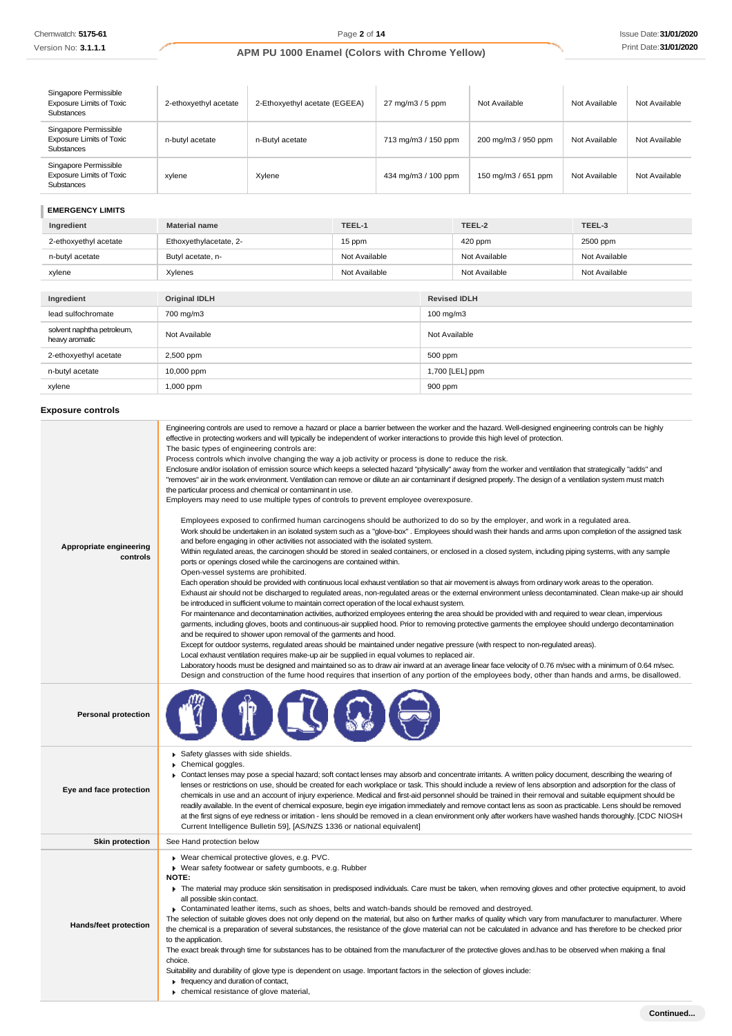Version No: **3.1.1.1**

# **APM PU 1000 Enamel (Colors with Chrome Yellow)**

| Singapore Permissible<br><b>Exposure Limits of Toxic</b><br><b>Substances</b> | 2-ethoxyethyl acetate | 2-Ethoxyethyl acetate (EGEEA) | $27 \text{ mg/m}$ $3 / 5 \text{ ppm}$ | Not Available       | Not Available | Not Available |
|-------------------------------------------------------------------------------|-----------------------|-------------------------------|---------------------------------------|---------------------|---------------|---------------|
| Singapore Permissible<br><b>Exposure Limits of Toxic</b><br><b>Substances</b> | n-butyl acetate       | n-Butvl acetate               | 713 mg/m3 / 150 ppm                   | 200 mg/m3 / 950 ppm | Not Available | Not Available |
| Singapore Permissible<br><b>Exposure Limits of Toxic</b><br>Substances        | xvlene                | Xvlene                        | 434 mg/m3 / 100 ppm                   | 150 mg/m3 / 651 ppm | Not Available | Not Available |

### **EMERGENCY LIMITS**

| Ingredient                                   | <b>Material name</b>   | TEEL-1        |                     | TEEL-2        | TEEL-3        |
|----------------------------------------------|------------------------|---------------|---------------------|---------------|---------------|
| 2-ethoxyethyl acetate                        | Ethoxyethylacetate, 2- | 15 ppm        |                     | 420 ppm       | 2500 ppm      |
| n-butyl acetate                              | Butyl acetate, n-      | Not Available |                     | Not Available | Not Available |
| xylene                                       | Xylenes                | Not Available |                     | Not Available | Not Available |
|                                              |                        |               |                     |               |               |
| Ingredient                                   | <b>Original IDLH</b>   |               | <b>Revised IDLH</b> |               |               |
| lead sulfochromate                           | 700 mg/m3              |               | 100 mg/m3           |               |               |
| solvent naphtha petroleum,<br>heavy aromatic | Not Available          |               | Not Available       |               |               |

| 2-ethoxyethyl acetate | 2,500 ppm  | 500 ppm         |
|-----------------------|------------|-----------------|
| n-butyl acetate       | 10,000 ppm | 1,700 [LEL] ppm |
| xylene                | 1,000 ppm  | 900 ppm         |
|                       |            |                 |

# **Exposure controls**

| Appropriate engineering<br>controls | Engineering controls are used to remove a hazard or place a barrier between the worker and the hazard. Well-designed engineering controls can be highly<br>effective in protecting workers and will typically be independent of worker interactions to provide this high level of protection.<br>The basic types of engineering controls are:<br>Process controls which involve changing the way a job activity or process is done to reduce the risk.<br>Enclosure and/or isolation of emission source which keeps a selected hazard "physically" away from the worker and ventilation that strategically "adds" and<br>"removes" air in the work environment. Ventilation can remove or dilute an air contaminant if designed properly. The design of a ventilation system must match<br>the particular process and chemical or contaminant in use.<br>Employers may need to use multiple types of controls to prevent employee overexposure.<br>Employees exposed to confirmed human carcinogens should be authorized to do so by the employer, and work in a regulated area.<br>Work should be undertaken in an isolated system such as a "glove-box". Employees should wash their hands and arms upon completion of the assigned task<br>and before engaging in other activities not associated with the isolated system.<br>Within regulated areas, the carcinogen should be stored in sealed containers, or enclosed in a closed system, including piping systems, with any sample<br>ports or openings closed while the carcinogens are contained within.<br>Open-vessel systems are prohibited.<br>Each operation should be provided with continuous local exhaust ventilation so that air movement is always from ordinary work areas to the operation.<br>Exhaust air should not be discharged to regulated areas, non-regulated areas or the external environment unless decontaminated. Clean make-up air should<br>be introduced in sufficient volume to maintain correct operation of the local exhaust system.<br>For maintenance and decontamination activities, authorized employees entering the area should be provided with and required to wear clean, impervious<br>garments, including gloves, boots and continuous-air supplied hood. Prior to removing protective garments the employee should undergo decontamination<br>and be required to shower upon removal of the garments and hood.<br>Except for outdoor systems, regulated areas should be maintained under negative pressure (with respect to non-regulated areas).<br>Local exhaust ventilation requires make-up air be supplied in equal volumes to replaced air.<br>Laboratory hoods must be designed and maintained so as to draw air inward at an average linear face velocity of 0.76 m/sec with a minimum of 0.64 m/sec.<br>Design and construction of the fume hood requires that insertion of any portion of the employees body, other than hands and arms, be disallowed. |
|-------------------------------------|-------------------------------------------------------------------------------------------------------------------------------------------------------------------------------------------------------------------------------------------------------------------------------------------------------------------------------------------------------------------------------------------------------------------------------------------------------------------------------------------------------------------------------------------------------------------------------------------------------------------------------------------------------------------------------------------------------------------------------------------------------------------------------------------------------------------------------------------------------------------------------------------------------------------------------------------------------------------------------------------------------------------------------------------------------------------------------------------------------------------------------------------------------------------------------------------------------------------------------------------------------------------------------------------------------------------------------------------------------------------------------------------------------------------------------------------------------------------------------------------------------------------------------------------------------------------------------------------------------------------------------------------------------------------------------------------------------------------------------------------------------------------------------------------------------------------------------------------------------------------------------------------------------------------------------------------------------------------------------------------------------------------------------------------------------------------------------------------------------------------------------------------------------------------------------------------------------------------------------------------------------------------------------------------------------------------------------------------------------------------------------------------------------------------------------------------------------------------------------------------------------------------------------------------------------------------------------------------------------------------------------------------------------------------------------------------------------------------------------------------------------------------------------------------------------------------------------------------------------------------------------------------------------------------------------------------------------------------------|
| <b>Personal protection</b>          |                                                                                                                                                                                                                                                                                                                                                                                                                                                                                                                                                                                                                                                                                                                                                                                                                                                                                                                                                                                                                                                                                                                                                                                                                                                                                                                                                                                                                                                                                                                                                                                                                                                                                                                                                                                                                                                                                                                                                                                                                                                                                                                                                                                                                                                                                                                                                                                                                                                                                                                                                                                                                                                                                                                                                                                                                                                                                                                                                                         |
| Eye and face protection             | Safety glasses with side shields.<br>Chemical goggles.<br>▶ Contact lenses may pose a special hazard; soft contact lenses may absorb and concentrate irritants. A written policy document, describing the wearing of<br>lenses or restrictions on use, should be created for each workplace or task. This should include a review of lens absorption and adsorption for the class of<br>chemicals in use and an account of injury experience. Medical and first-aid personnel should be trained in their removal and suitable equipment should be<br>readily available. In the event of chemical exposure, begin eye irrigation immediately and remove contact lens as soon as practicable. Lens should be removed<br>at the first signs of eye redness or irritation - lens should be removed in a clean environment only after workers have washed hands thoroughly. [CDC NIOSH<br>Current Intelligence Bulletin 59], [AS/NZS 1336 or national equivalent]                                                                                                                                                                                                                                                                                                                                                                                                                                                                                                                                                                                                                                                                                                                                                                                                                                                                                                                                                                                                                                                                                                                                                                                                                                                                                                                                                                                                                                                                                                                                                                                                                                                                                                                                                                                                                                                                                                                                                                                                            |
| <b>Skin protection</b>              | See Hand protection below                                                                                                                                                                                                                                                                                                                                                                                                                                                                                                                                                                                                                                                                                                                                                                                                                                                                                                                                                                                                                                                                                                                                                                                                                                                                                                                                                                                                                                                                                                                                                                                                                                                                                                                                                                                                                                                                                                                                                                                                                                                                                                                                                                                                                                                                                                                                                                                                                                                                                                                                                                                                                                                                                                                                                                                                                                                                                                                                               |
| <b>Hands/feet protection</b>        | Wear chemical protective gloves, e.g. PVC.<br>▶ Wear safety footwear or safety gumboots, e.g. Rubber<br><b>NOTE:</b><br>The material may produce skin sensitisation in predisposed individuals. Care must be taken, when removing gloves and other protective equipment, to avoid<br>all possible skin contact.<br>► Contaminated leather items, such as shoes, belts and watch-bands should be removed and destroyed.<br>The selection of suitable gloves does not only depend on the material, but also on further marks of quality which vary from manufacturer to manufacturer. Where<br>the chemical is a preparation of several substances, the resistance of the glove material can not be calculated in advance and has therefore to be checked prior<br>to the application.<br>The exact break through time for substances has to be obtained from the manufacturer of the protective gloves and has to be observed when making a final<br>choice.<br>Suitability and durability of glove type is dependent on usage. Important factors in the selection of gloves include:<br>$\blacktriangleright$ frequency and duration of contact,<br>chemical resistance of glove material,                                                                                                                                                                                                                                                                                                                                                                                                                                                                                                                                                                                                                                                                                                                                                                                                                                                                                                                                                                                                                                                                                                                                                                                                                                                                                                                                                                                                                                                                                                                                                                                                                                                                                                                                                                              |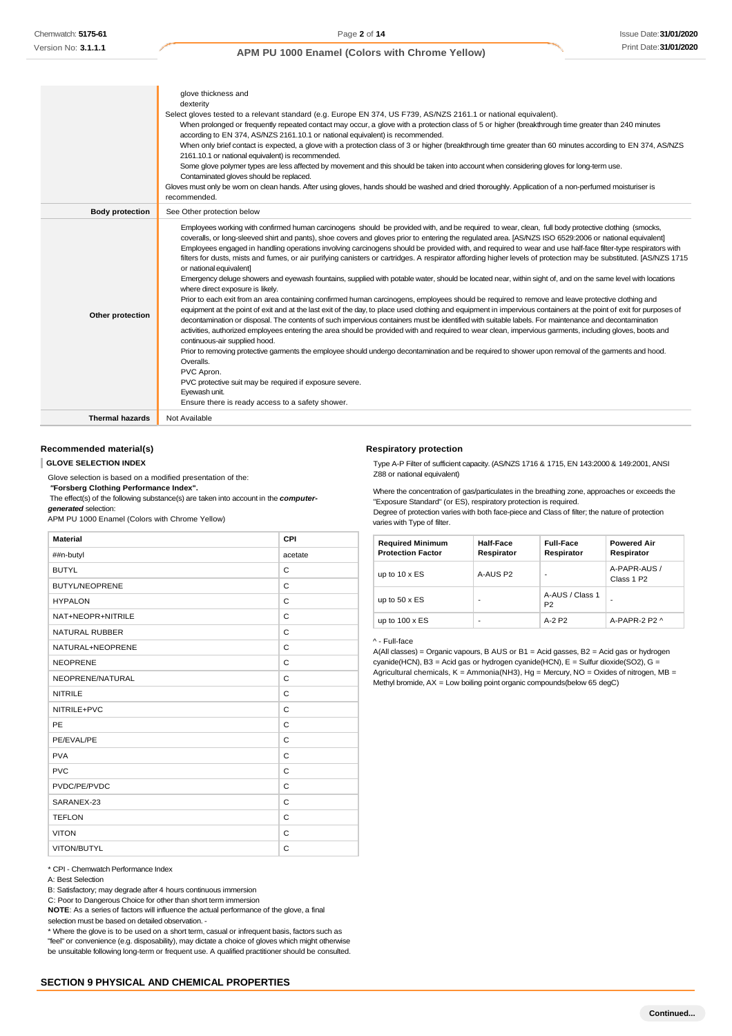|                        | glove thickness and                                                                                                                                                                                                                                                                                                                                                                                                                                                                                                                                                                                                                                                                                                                                                                                                                                                                                                                                                                                                                                                                                                                                                                                                                                                                                                                                                                                                                                                                                                                                                                                                                                                                                                                                                                                                                                                           |
|------------------------|-------------------------------------------------------------------------------------------------------------------------------------------------------------------------------------------------------------------------------------------------------------------------------------------------------------------------------------------------------------------------------------------------------------------------------------------------------------------------------------------------------------------------------------------------------------------------------------------------------------------------------------------------------------------------------------------------------------------------------------------------------------------------------------------------------------------------------------------------------------------------------------------------------------------------------------------------------------------------------------------------------------------------------------------------------------------------------------------------------------------------------------------------------------------------------------------------------------------------------------------------------------------------------------------------------------------------------------------------------------------------------------------------------------------------------------------------------------------------------------------------------------------------------------------------------------------------------------------------------------------------------------------------------------------------------------------------------------------------------------------------------------------------------------------------------------------------------------------------------------------------------|
|                        | dexterity                                                                                                                                                                                                                                                                                                                                                                                                                                                                                                                                                                                                                                                                                                                                                                                                                                                                                                                                                                                                                                                                                                                                                                                                                                                                                                                                                                                                                                                                                                                                                                                                                                                                                                                                                                                                                                                                     |
|                        | Select gloves tested to a relevant standard (e.g. Europe EN 374, US F739, AS/NZS 2161.1 or national equivalent).                                                                                                                                                                                                                                                                                                                                                                                                                                                                                                                                                                                                                                                                                                                                                                                                                                                                                                                                                                                                                                                                                                                                                                                                                                                                                                                                                                                                                                                                                                                                                                                                                                                                                                                                                              |
|                        | When prolonged or frequently repeated contact may occur, a glove with a protection class of 5 or higher (breakthrough time greater than 240 minutes<br>according to EN 374, AS/NZS 2161.10.1 or national equivalent) is recommended.                                                                                                                                                                                                                                                                                                                                                                                                                                                                                                                                                                                                                                                                                                                                                                                                                                                                                                                                                                                                                                                                                                                                                                                                                                                                                                                                                                                                                                                                                                                                                                                                                                          |
|                        | When only brief contact is expected, a glove with a protection class of 3 or higher (breakthrough time greater than 60 minutes according to EN 374, AS/NZS<br>2161.10.1 or national equivalent) is recommended.                                                                                                                                                                                                                                                                                                                                                                                                                                                                                                                                                                                                                                                                                                                                                                                                                                                                                                                                                                                                                                                                                                                                                                                                                                                                                                                                                                                                                                                                                                                                                                                                                                                               |
|                        | Some glove polymer types are less affected by movement and this should be taken into account when considering gloves for long-term use.<br>Contaminated gloves should be replaced.                                                                                                                                                                                                                                                                                                                                                                                                                                                                                                                                                                                                                                                                                                                                                                                                                                                                                                                                                                                                                                                                                                                                                                                                                                                                                                                                                                                                                                                                                                                                                                                                                                                                                            |
|                        | Gloves must only be wom on clean hands. After using gloves, hands should be washed and dried thoroughly. Application of a non-perfumed moisturiser is<br>recommended.                                                                                                                                                                                                                                                                                                                                                                                                                                                                                                                                                                                                                                                                                                                                                                                                                                                                                                                                                                                                                                                                                                                                                                                                                                                                                                                                                                                                                                                                                                                                                                                                                                                                                                         |
| <b>Body protection</b> | See Other protection below                                                                                                                                                                                                                                                                                                                                                                                                                                                                                                                                                                                                                                                                                                                                                                                                                                                                                                                                                                                                                                                                                                                                                                                                                                                                                                                                                                                                                                                                                                                                                                                                                                                                                                                                                                                                                                                    |
| Other protection       | Employees working with confirmed human carcinogens should be provided with, and be required to wear, clean, full body protective clothing (smocks,<br>coveralls, or long-sleeved shirt and pants), shoe covers and gloves prior to entering the regulated area. [AS/NZS ISO 6529:2006 or national equivalent]<br>Employees engaged in handling operations involving carcinogens should be provided with, and required to wear and use half-face filter-type respirators with<br>filters for dusts, mists and fumes, or air purifying canisters or cartridges. A respirator affording higher levels of protection may be substituted. [AS/NZS 1715<br>or national equivalent]<br>Emergency deluge showers and eyewash fountains, supplied with potable water, should be located near, within sight of, and on the same level with locations<br>where direct exposure is likely.<br>Prior to each exit from an area containing confirmed human carcinogens, employees should be required to remove and leave protective clothing and<br>equipment at the point of exit and at the last exit of the day, to place used clothing and equipment in impervious containers at the point of exit for purposes of<br>decontamination or disposal. The contents of such impervious containers must be identified with suitable labels. For maintenance and decontamination<br>activities, authorized employees entering the area should be provided with and required to wear clean, impervious garments, including gloves, boots and<br>continuous-air supplied hood.<br>Prior to removing protective garments the employee should undergo decontamination and be required to shower upon removal of the garments and hood.<br>Overalls.<br>PVC Apron.<br>PVC protective suit may be required if exposure severe.<br>Eyewash unit.<br>Ensure there is ready access to a safety shower. |
| <b>Thermal hazards</b> | Not Available                                                                                                                                                                                                                                                                                                                                                                                                                                                                                                                                                                                                                                                                                                                                                                                                                                                                                                                                                                                                                                                                                                                                                                                                                                                                                                                                                                                                                                                                                                                                                                                                                                                                                                                                                                                                                                                                 |
|                        |                                                                                                                                                                                                                                                                                                                                                                                                                                                                                                                                                                                                                                                                                                                                                                                                                                                                                                                                                                                                                                                                                                                                                                                                                                                                                                                                                                                                                                                                                                                                                                                                                                                                                                                                                                                                                                                                               |

#### **Recommended material(s)**

**GLOVE SELECTION INDEX**

Glove selection is based on a modified presentation of the:

*"***Forsberg Clothing Performance Index".**

The effect(s) of the following substance(s) are taken into account in the *computergenerated* selection:

APM PU 1000 Enamel (Colors with Chrome Yellow)

| <b>Material</b>       | CPI     |
|-----------------------|---------|
| ##n-butyl             | acetate |
| <b>BUTYL</b>          | C       |
| <b>BUTYL/NEOPRENE</b> | C       |
| <b>HYPALON</b>        | C       |
| NAT+NEOPR+NITRILE     | C       |
| <b>NATURAL RUBBER</b> | C       |
| NATURAL+NEOPRENE      | C       |
| <b>NEOPRENE</b>       | C       |
| NEOPRENE/NATURAL      | C       |
| <b>NITRILE</b>        | C       |
| NITRILE+PVC           | C       |
| PE                    | C       |
| PE/EVAL/PE            | C       |
| <b>PVA</b>            | C       |
| <b>PVC</b>            | C       |
| PVDC/PE/PVDC          | C       |
| SARANEX-23            | C       |
| <b>TEFLON</b>         | C       |
| <b>VITON</b>          | C       |
| VITON/BUTYL           | C       |

\* CPI - Chemwatch Performance Index

B: Satisfactory; may degrade after 4 hours continuous immersion

C: Poor to Dangerous Choice for other than short term immersion

**NOTE**: As a series of factors will influence the actual performance of the glove, a final selection must be based on detailed observation. -

\* Where the glove is to be used on a short term, casual or infrequent basis, factors such as "feel" or convenience (e.g. disposability), may dictate a choice of gloves which might otherwise be unsuitable following long-term or frequent use. A qualified practitioner should be consulted.

#### **Respiratory protection**

Type A-P Filter of sufficient capacity. (AS/NZS 1716 & 1715, EN 143:2000 & 149:2001, ANSI Z88 or national equivalent)

Where the concentration of gas/particulates in the breathing zone, approaches or exceeds the "Exposure Standard" (or ES), respiratory protection is required.

Degree of protection varies with both face-piece and Class of filter; the nature of protection varies with Type of filter.

| <b>Required Minimum</b><br><b>Protection Factor</b> | Half-Face<br>Respirator | <b>Full-Face</b><br>Respirator    | <b>Powered Air</b><br>Respirator       |
|-----------------------------------------------------|-------------------------|-----------------------------------|----------------------------------------|
| up to $10 \times ES$                                | A-AUS P2                |                                   | A-PAPR-AUS /<br>Class 1 P <sub>2</sub> |
| up to $50 \times ES$                                |                         | A-AUS / Class 1<br>P <sub>2</sub> |                                        |
| up to $100 \times ES$                               | -                       | $A-2P2$                           | A-PAPR-2 P2 $\land$                    |

^ - Full-face

A(All classes) = Organic vapours, B AUS or B1 = Acid gasses, B2 = Acid gas or hydrogen cyanide(HCN), B3 = Acid gas or hydrogen cyanide(HCN), E = Sulfur dioxide(SO2), G = Agricultural chemicals,  $K =$  Ammonia(NH3), Hg = Mercury, NO = Oxides of nitrogen, MB = Methyl bromide, AX = Low boiling point organic compounds(below 65 degC)

A: Best Selection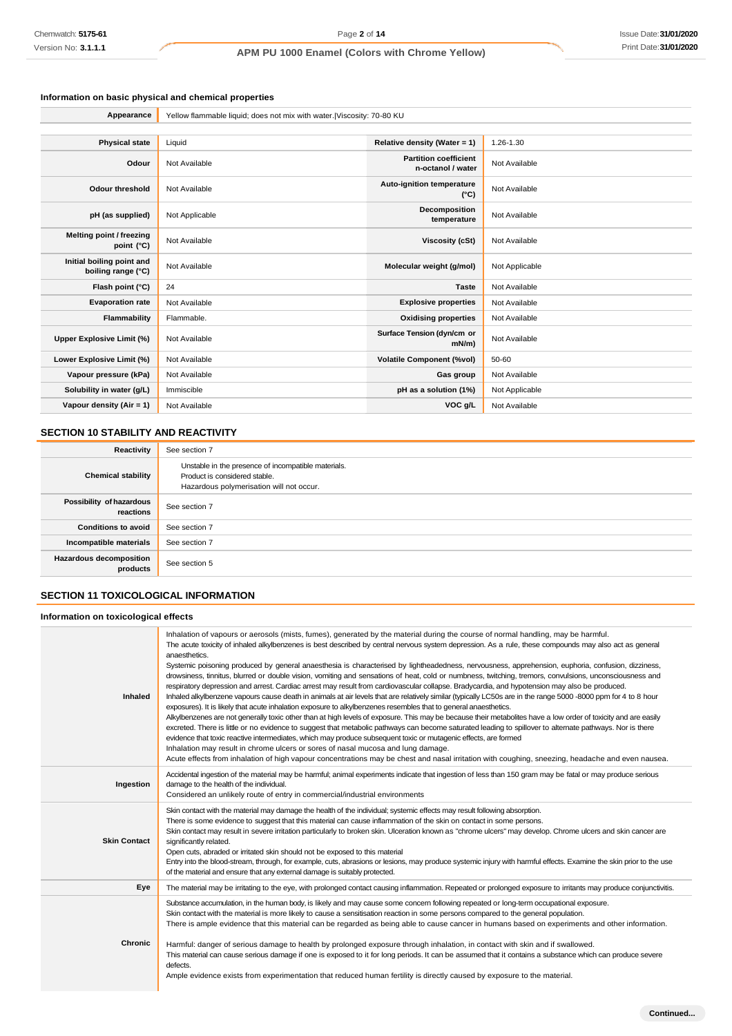# **Information on basic physical and chemical properties**

| Appearance                                      | Yellow flammable liquid; does not mix with water.   Viscosity: 70-80 KU |                                                   |                |
|-------------------------------------------------|-------------------------------------------------------------------------|---------------------------------------------------|----------------|
|                                                 |                                                                         |                                                   |                |
| <b>Physical state</b>                           | Liquid                                                                  | Relative density (Water = 1)                      | 1.26-1.30      |
| Odour                                           | Not Available                                                           | <b>Partition coefficient</b><br>n-octanol / water | Not Available  |
| <b>Odour threshold</b>                          | Not Available                                                           | Auto-ignition temperature<br>$(^{\circ}C)$        | Not Available  |
| pH (as supplied)                                | Not Applicable                                                          | Decomposition<br>temperature                      | Not Available  |
| Melting point / freezing<br>point (°C)          | Not Available                                                           | <b>Viscosity (cSt)</b>                            | Not Available  |
| Initial boiling point and<br>boiling range (°C) | Not Available                                                           | Molecular weight (g/mol)                          | Not Applicable |
| Flash point (°C)                                | 24                                                                      | <b>Taste</b>                                      | Not Available  |
| <b>Evaporation rate</b>                         | Not Available                                                           | <b>Explosive properties</b>                       | Not Available  |
| Flammability                                    | Flammable.                                                              | <b>Oxidising properties</b>                       | Not Available  |
| <b>Upper Explosive Limit (%)</b>                | Not Available                                                           | Surface Tension (dyn/cm or<br>$mN/m$ )            | Not Available  |
| Lower Explosive Limit (%)                       | Not Available                                                           | <b>Volatile Component (%vol)</b>                  | 50-60          |
| Vapour pressure (kPa)                           | Not Available                                                           | Gas group                                         | Not Available  |
| Solubility in water (g/L)                       | Immiscible                                                              | pH as a solution (1%)                             | Not Applicable |
| Vapour density $(Air = 1)$                      | Not Available                                                           | VOC g/L                                           | Not Available  |

# **SECTION 10 STABILITY AND REACTIVITY**

| Reactivity                            | See section 7                                                                                                                    |
|---------------------------------------|----------------------------------------------------------------------------------------------------------------------------------|
| <b>Chemical stability</b>             | Unstable in the presence of incompatible materials.<br>Product is considered stable.<br>Hazardous polymerisation will not occur. |
| Possibility of hazardous<br>reactions | See section 7                                                                                                                    |
| <b>Conditions to avoid</b>            | See section 7                                                                                                                    |
| Incompatible materials                | See section 7                                                                                                                    |
| Hazardous decomposition<br>products   | See section 5                                                                                                                    |

# **SECTION 11 TOXICOLOGICAL INFORMATION**

### **Information on toxicological effects**

| Inhaled             | Inhalation of vapours or aerosols (mists, fumes), generated by the material during the course of normal handling, may be harmful.<br>The acute toxicity of inhaled alkylbenzenes is best described by central nervous system depression. As a rule, these compounds may also act as general<br>anaesthetics.<br>Systemic poisoning produced by general anaesthesia is characterised by lightheadedness, nervousness, apprehension, euphoria, confusion, dizziness,<br>drowsiness, tinnitus, blurred or double vision, vomiting and sensations of heat, cold or numbness, twitching, tremors, convulsions, unconsciousness and<br>respiratory depression and arrest. Cardiac arrest may result from cardiovascular collapse. Bradycardia, and hypotension may also be produced.<br>Inhaled alkylbenzene vapours cause death in animals at air levels that are relatively similar (typically LC50s are in the range 5000 -8000 ppm for 4 to 8 hour<br>exposures). It is likely that acute inhalation exposure to alkylbenzenes resembles that to general anaesthetics.<br>Alkylbenzenes are not generally toxic other than at high levels of exposure. This may be because their metabolites have a low order of toxicity and are easily<br>excreted. There is little or no evidence to suggest that metabolic pathways can become saturated leading to spillover to alternate pathways. Nor is there<br>evidence that toxic reactive intermediates, which may produce subsequent toxic or mutagenic effects, are formed<br>Inhalation may result in chrome ulcers or sores of nasal mucosa and lung damage.<br>Acute effects from inhalation of high vapour concentrations may be chest and nasal irritation with coughing, sneezing, headache and even nausea. |
|---------------------|----------------------------------------------------------------------------------------------------------------------------------------------------------------------------------------------------------------------------------------------------------------------------------------------------------------------------------------------------------------------------------------------------------------------------------------------------------------------------------------------------------------------------------------------------------------------------------------------------------------------------------------------------------------------------------------------------------------------------------------------------------------------------------------------------------------------------------------------------------------------------------------------------------------------------------------------------------------------------------------------------------------------------------------------------------------------------------------------------------------------------------------------------------------------------------------------------------------------------------------------------------------------------------------------------------------------------------------------------------------------------------------------------------------------------------------------------------------------------------------------------------------------------------------------------------------------------------------------------------------------------------------------------------------------------------------------------------------------------------------------------------------|
| Ingestion           | Accidental ingestion of the material may be harmful; animal experiments indicate that ingestion of less than 150 gram may be fatal or may produce serious<br>damage to the health of the individual.<br>Considered an unlikely route of entry in commercial/industrial environments                                                                                                                                                                                                                                                                                                                                                                                                                                                                                                                                                                                                                                                                                                                                                                                                                                                                                                                                                                                                                                                                                                                                                                                                                                                                                                                                                                                                                                                                            |
| <b>Skin Contact</b> | Skin contact with the material may damage the health of the individual; systemic effects may result following absorption.<br>There is some evidence to suggest that this material can cause inflammation of the skin on contact in some persons.<br>Skin contact may result in severe irritation particularly to broken skin. Ulceration known as "chrome ulcers" may develop. Chrome ulcers and skin cancer are<br>significantly related.<br>Open cuts, abraded or irritated skin should not be exposed to this material<br>Entry into the blood-stream, through, for example, cuts, abrasions or lesions, may produce systemic injury with harmful effects. Examine the skin prior to the use<br>of the material and ensure that any external damage is suitably protected.                                                                                                                                                                                                                                                                                                                                                                                                                                                                                                                                                                                                                                                                                                                                                                                                                                                                                                                                                                                  |
| Eye                 | The material may be irritating to the eye, with prolonged contact causing inflammation. Repeated or prolonged exposure to irritants may produce conjunctivitis.                                                                                                                                                                                                                                                                                                                                                                                                                                                                                                                                                                                                                                                                                                                                                                                                                                                                                                                                                                                                                                                                                                                                                                                                                                                                                                                                                                                                                                                                                                                                                                                                |
| Chronic             | Substance accumulation, in the human body, is likely and may cause some concem following repeated or long-term occupational exposure.<br>Skin contact with the material is more likely to cause a sensitisation reaction in some persons compared to the general population.<br>There is ample evidence that this material can be regarded as being able to cause cancer in humans based on experiments and other information.<br>Harmful: danger of serious damage to health by prolonged exposure through inhalation, in contact with skin and if swallowed.<br>This material can cause serious damage if one is exposed to it for long periods. It can be assumed that it contains a substance which can produce severe<br>defects.<br>Ample evidence exists from experimentation that reduced human fertility is directly caused by exposure to the material.                                                                                                                                                                                                                                                                                                                                                                                                                                                                                                                                                                                                                                                                                                                                                                                                                                                                                              |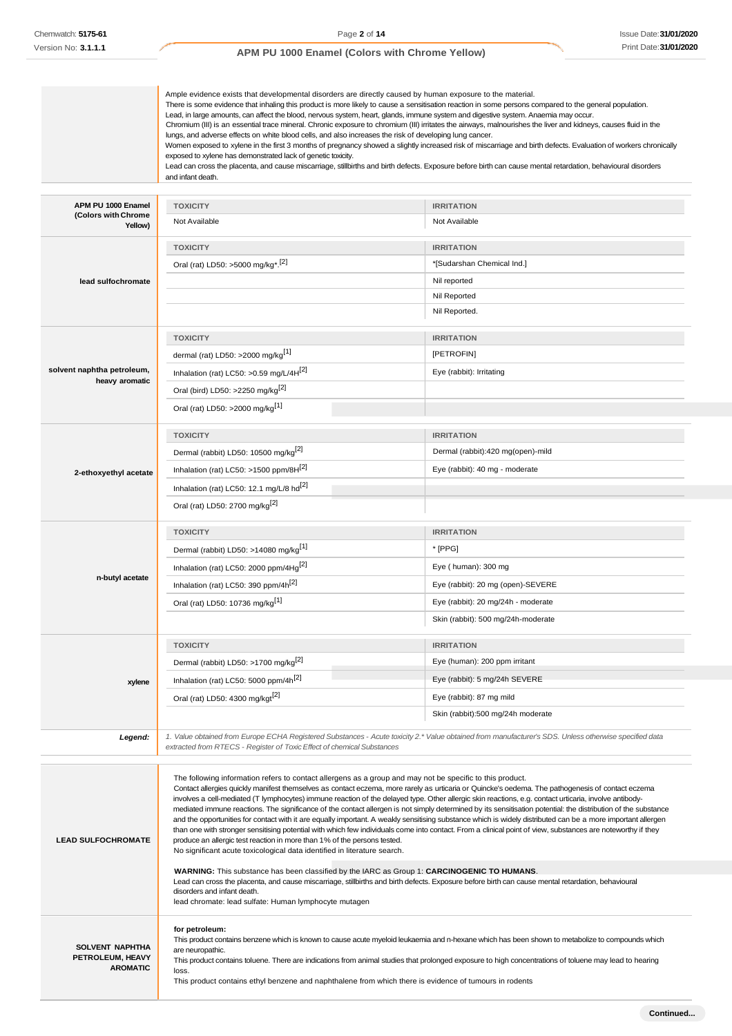|                                                               | Ample evidence exists that developmental disorders are directly caused by human exposure to the material.<br>There is some evidence that inhaling this product is more likely to cause a sensitisation reaction in some persons compared to the general population.<br>Lead, in large amounts, can affect the blood, nervous system, heart, glands, immune system and digestive system. Anaemia may occur.<br>Chromium (III) is an essential trace mineral. Chronic exposure to chromium (III) irritates the airways, malnourishes the liver and kidneys, causes fluid in the<br>lungs, and adverse effects on white blood cells, and also increases the risk of developing lung cancer.<br>Women exposed to xylene in the first 3 months of pregnancy showed a slightly increased risk of miscarriage and birth defects. Evaluation of workers chronically<br>exposed to xylene has demonstrated lack of genetic toxicity.<br>Lead can cross the placenta, and cause miscarriage, stillbirths and birth defects. Exposure before birth can cause mental retardation, behavioural disorders<br>and infant death. |                                                 |
|---------------------------------------------------------------|------------------------------------------------------------------------------------------------------------------------------------------------------------------------------------------------------------------------------------------------------------------------------------------------------------------------------------------------------------------------------------------------------------------------------------------------------------------------------------------------------------------------------------------------------------------------------------------------------------------------------------------------------------------------------------------------------------------------------------------------------------------------------------------------------------------------------------------------------------------------------------------------------------------------------------------------------------------------------------------------------------------------------------------------------------------------------------------------------------------|-------------------------------------------------|
|                                                               |                                                                                                                                                                                                                                                                                                                                                                                                                                                                                                                                                                                                                                                                                                                                                                                                                                                                                                                                                                                                                                                                                                                  |                                                 |
| APM PU 1000 Enamel<br>(Colors with Chrome                     | <b>TOXICITY</b>                                                                                                                                                                                                                                                                                                                                                                                                                                                                                                                                                                                                                                                                                                                                                                                                                                                                                                                                                                                                                                                                                                  | <b>IRRITATION</b>                               |
| Yellow)                                                       | Not Available                                                                                                                                                                                                                                                                                                                                                                                                                                                                                                                                                                                                                                                                                                                                                                                                                                                                                                                                                                                                                                                                                                    | Not Available                                   |
|                                                               | <b>TOXICITY</b><br>Oral (rat) LD50: >5000 mg/kg <sup>*</sup> . <sup>[2]</sup>                                                                                                                                                                                                                                                                                                                                                                                                                                                                                                                                                                                                                                                                                                                                                                                                                                                                                                                                                                                                                                    | <b>IRRITATION</b><br>*[Sudarshan Chemical Ind.] |
| lead sulfochromate                                            |                                                                                                                                                                                                                                                                                                                                                                                                                                                                                                                                                                                                                                                                                                                                                                                                                                                                                                                                                                                                                                                                                                                  | Nil reported                                    |
|                                                               |                                                                                                                                                                                                                                                                                                                                                                                                                                                                                                                                                                                                                                                                                                                                                                                                                                                                                                                                                                                                                                                                                                                  | Nil Reported                                    |
|                                                               |                                                                                                                                                                                                                                                                                                                                                                                                                                                                                                                                                                                                                                                                                                                                                                                                                                                                                                                                                                                                                                                                                                                  | Nil Reported.                                   |
|                                                               | <b>TOXICITY</b>                                                                                                                                                                                                                                                                                                                                                                                                                                                                                                                                                                                                                                                                                                                                                                                                                                                                                                                                                                                                                                                                                                  | <b>IRRITATION</b>                               |
|                                                               | dermal (rat) LD50: >2000 mg/kg <sup>[1]</sup>                                                                                                                                                                                                                                                                                                                                                                                                                                                                                                                                                                                                                                                                                                                                                                                                                                                                                                                                                                                                                                                                    | [PETROFIN]                                      |
| solvent naphtha petroleum,                                    | Inhalation (rat) LC50: > 0.59 mg/L/4 $H[2]$                                                                                                                                                                                                                                                                                                                                                                                                                                                                                                                                                                                                                                                                                                                                                                                                                                                                                                                                                                                                                                                                      | Eye (rabbit): Irritating                        |
| heavy aromatic                                                | Oral (bird) LD50: >2250 mg/kg <sup>[2]</sup>                                                                                                                                                                                                                                                                                                                                                                                                                                                                                                                                                                                                                                                                                                                                                                                                                                                                                                                                                                                                                                                                     |                                                 |
|                                                               | Oral (rat) LD50: >2000 mg/kg <sup>[1]</sup>                                                                                                                                                                                                                                                                                                                                                                                                                                                                                                                                                                                                                                                                                                                                                                                                                                                                                                                                                                                                                                                                      |                                                 |
|                                                               |                                                                                                                                                                                                                                                                                                                                                                                                                                                                                                                                                                                                                                                                                                                                                                                                                                                                                                                                                                                                                                                                                                                  |                                                 |
|                                                               | <b>TOXICITY</b>                                                                                                                                                                                                                                                                                                                                                                                                                                                                                                                                                                                                                                                                                                                                                                                                                                                                                                                                                                                                                                                                                                  | <b>IRRITATION</b>                               |
|                                                               | Dermal (rabbit) LD50: 10500 mg/kg <sup>[2]</sup>                                                                                                                                                                                                                                                                                                                                                                                                                                                                                                                                                                                                                                                                                                                                                                                                                                                                                                                                                                                                                                                                 | Dermal (rabbit):420 mg(open)-mild               |
| 2-ethoxyethyl acetate                                         | Inhalation (rat) LC50: >1500 ppm/8H <sup>[2]</sup>                                                                                                                                                                                                                                                                                                                                                                                                                                                                                                                                                                                                                                                                                                                                                                                                                                                                                                                                                                                                                                                               | Eye (rabbit): 40 mg - moderate                  |
|                                                               | Inhalation (rat) LC50: 12.1 mg/L/8 hd <sup>[2]</sup>                                                                                                                                                                                                                                                                                                                                                                                                                                                                                                                                                                                                                                                                                                                                                                                                                                                                                                                                                                                                                                                             |                                                 |
|                                                               | Oral (rat) LD50: 2700 mg/kg <sup>[2]</sup>                                                                                                                                                                                                                                                                                                                                                                                                                                                                                                                                                                                                                                                                                                                                                                                                                                                                                                                                                                                                                                                                       |                                                 |
|                                                               |                                                                                                                                                                                                                                                                                                                                                                                                                                                                                                                                                                                                                                                                                                                                                                                                                                                                                                                                                                                                                                                                                                                  |                                                 |
|                                                               | <b>TOXICITY</b>                                                                                                                                                                                                                                                                                                                                                                                                                                                                                                                                                                                                                                                                                                                                                                                                                                                                                                                                                                                                                                                                                                  | <b>IRRITATION</b>                               |
|                                                               | Dermal (rabbit) LD50: >14080 mg/kg <sup>[1]</sup>                                                                                                                                                                                                                                                                                                                                                                                                                                                                                                                                                                                                                                                                                                                                                                                                                                                                                                                                                                                                                                                                | * [PPG]                                         |
| n-butyl acetate                                               | Inhalation (rat) LC50: 2000 ppm/4Hg <sup>[2]</sup>                                                                                                                                                                                                                                                                                                                                                                                                                                                                                                                                                                                                                                                                                                                                                                                                                                                                                                                                                                                                                                                               | Eye (human): 300 mg                             |
|                                                               | Inhalation (rat) LC50: 390 ppm/4h <sup>[2]</sup>                                                                                                                                                                                                                                                                                                                                                                                                                                                                                                                                                                                                                                                                                                                                                                                                                                                                                                                                                                                                                                                                 | Eye (rabbit): 20 mg (open)-SEVERE               |
|                                                               | Oral (rat) LD50: 10736 mg/kg <sup>[1]</sup>                                                                                                                                                                                                                                                                                                                                                                                                                                                                                                                                                                                                                                                                                                                                                                                                                                                                                                                                                                                                                                                                      | Eye (rabbit): 20 mg/24h - moderate              |
|                                                               |                                                                                                                                                                                                                                                                                                                                                                                                                                                                                                                                                                                                                                                                                                                                                                                                                                                                                                                                                                                                                                                                                                                  | Skin (rabbit): 500 mg/24h-moderate              |
|                                                               | <b>TOXICITY</b>                                                                                                                                                                                                                                                                                                                                                                                                                                                                                                                                                                                                                                                                                                                                                                                                                                                                                                                                                                                                                                                                                                  | <b>IRRITATION</b>                               |
|                                                               | Dermal (rabbit) LD50: >1700 mg/kg <sup>[2]</sup>                                                                                                                                                                                                                                                                                                                                                                                                                                                                                                                                                                                                                                                                                                                                                                                                                                                                                                                                                                                                                                                                 | Eye (human): 200 ppm irritant                   |
|                                                               | Inhalation (rat) LC50: 5000 ppm/4h <sup>[2]</sup>                                                                                                                                                                                                                                                                                                                                                                                                                                                                                                                                                                                                                                                                                                                                                                                                                                                                                                                                                                                                                                                                | Eye (rabbit): 5 mg/24h SEVERE                   |
| xylene                                                        | Oral (rat) LD50: 4300 mg/kgt <sup>[2]</sup>                                                                                                                                                                                                                                                                                                                                                                                                                                                                                                                                                                                                                                                                                                                                                                                                                                                                                                                                                                                                                                                                      | Eye (rabbit): 87 mg mild                        |
|                                                               |                                                                                                                                                                                                                                                                                                                                                                                                                                                                                                                                                                                                                                                                                                                                                                                                                                                                                                                                                                                                                                                                                                                  | Skin (rabbit):500 mg/24h moderate               |
|                                                               |                                                                                                                                                                                                                                                                                                                                                                                                                                                                                                                                                                                                                                                                                                                                                                                                                                                                                                                                                                                                                                                                                                                  |                                                 |
| Legend:                                                       | 1. Value obtained from Europe ECHA Registered Substances - Acute toxicity 2.* Value obtained from manufacturer's SDS. Unless otherwise specified data<br>extracted from RTECS - Register of Toxic Effect of chemical Substances                                                                                                                                                                                                                                                                                                                                                                                                                                                                                                                                                                                                                                                                                                                                                                                                                                                                                  |                                                 |
| <b>LEAD SULFOCHROMATE</b>                                     | The following information refers to contact allergens as a group and may not be specific to this product.<br>Contact allergies quickly manifest themselves as contact eczema, more rarely as urticaria or Quincke's oedema. The pathogenesis of contact eczema<br>involves a cell-mediated (T lymphocytes) immune reaction of the delayed type. Other allergic skin reactions, e.g. contact urticaria, involve antibody-<br>mediated immune reactions. The significance of the contact allergen is not simply determined by its sensitisation potential: the distribution of the substance<br>and the opportunities for contact with it are equally important. A weakly sensitising substance which is widely distributed can be a more important allergen<br>than one with stronger sensitising potential with which few individuals come into contact. From a clinical point of view, substances are noteworthy if they<br>produce an allergic test reaction in more than 1% of the persons tested.<br>No significant acute toxicological data identified in literature search.                                |                                                 |
|                                                               | <b>WARNING:</b> This substance has been classified by the IARC as Group 1: <b>CARCINOGENIC TO HUMANS</b> .<br>Lead can cross the placenta, and cause miscarriage, stillbirths and birth defects. Exposure before birth can cause mental retardation, behavioural                                                                                                                                                                                                                                                                                                                                                                                                                                                                                                                                                                                                                                                                                                                                                                                                                                                 |                                                 |
|                                                               | disorders and infant death.<br>lead chromate: lead sulfate: Human lymphocyte mutagen                                                                                                                                                                                                                                                                                                                                                                                                                                                                                                                                                                                                                                                                                                                                                                                                                                                                                                                                                                                                                             |                                                 |
| <b>SOLVENT NAPHTHA</b><br>PETROLEUM, HEAVY<br><b>AROMATIC</b> | for petroleum:<br>This product contains benzene which is known to cause acute myeloid leukaemia and n-hexane which has been shown to metabolize to compounds which<br>are neuropathic.<br>This product contains toluene. There are indications from animal studies that prolonged exposure to high concentrations of toluene may lead to hearing<br>loss.<br>This product contains ethyl benzene and naphthalene from which there is evidence of tumours in rodents                                                                                                                                                                                                                                                                                                                                                                                                                                                                                                                                                                                                                                              |                                                 |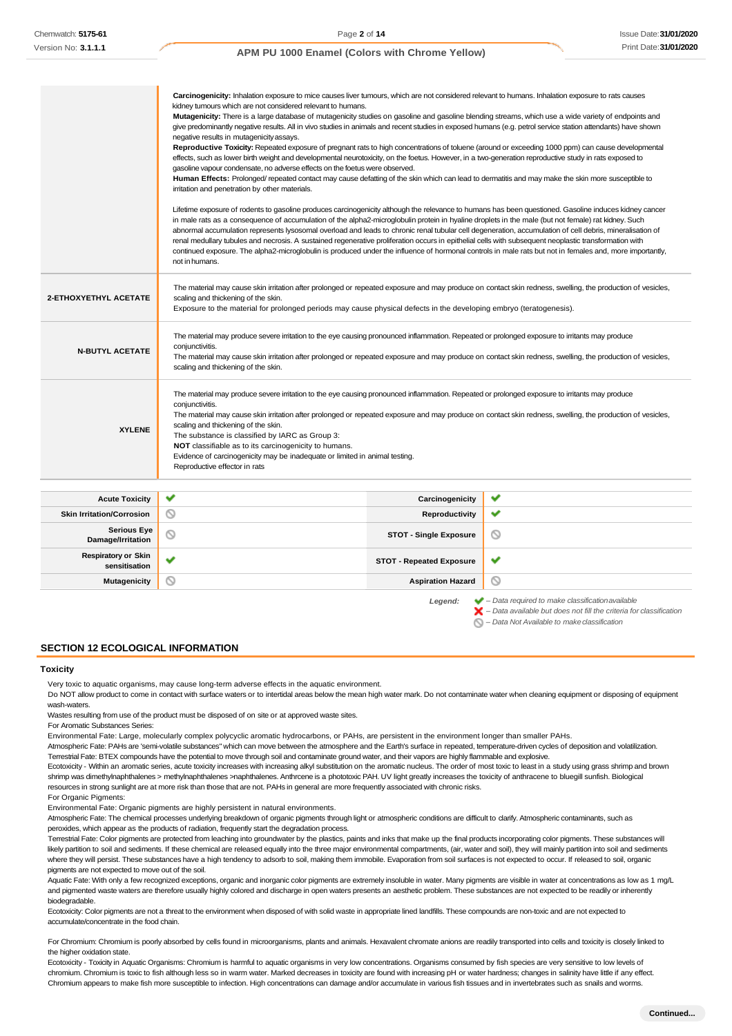|                        | Carcinogenicity: Inhalation exposure to mice causes liver tumours, which are not considered relevant to humans. Inhalation exposure to rats causes<br>kidney tumours which are not considered relevant to humans.<br>Mutagenicity: There is a large database of mutagenicity studies on gasoline and gasoline blending streams, which use a wide variety of endpoints and<br>give predominantly negative results. All in vivo studies in animals and recent studies in exposed humans (e.g. petrol service station attendants) have shown<br>negative results in mutagenicity assays.                                                                                                                                                                                                                             |
|------------------------|-------------------------------------------------------------------------------------------------------------------------------------------------------------------------------------------------------------------------------------------------------------------------------------------------------------------------------------------------------------------------------------------------------------------------------------------------------------------------------------------------------------------------------------------------------------------------------------------------------------------------------------------------------------------------------------------------------------------------------------------------------------------------------------------------------------------|
|                        | Reproductive Toxicity: Repeated exposure of pregnant rats to high concentrations of toluene (around or exceeding 1000 ppm) can cause developmental<br>effects, such as lower birth weight and developmental neurotoxicity, on the foetus. However, in a two-generation reproductive study in rats exposed to<br>gasoline vapour condensate, no adverse effects on the foetus were observed.<br>Human Effects: Prolonged/repeated contact may cause defatting of the skin which can lead to dermatitis and may make the skin more susceptible to<br>irritation and penetration by other materials.                                                                                                                                                                                                                 |
|                        | Lifetime exposure of rodents to gasoline produces carcinogenicity although the relevance to humans has been questioned. Gasoline induces kidney cancer<br>in male rats as a consequence of accumulation of the alpha2-microglobulin protein in hyaline droplets in the male (but not female) rat kidney. Such<br>abnormal accumulation represents lysosomal overload and leads to chronic renal tubular cell degeneration, accumulation of cell debris, mineralisation of<br>renal medullary tubules and necrosis. A sustained regenerative proliferation occurs in epithelial cells with subsequent neoplastic transformation with<br>continued exposure. The alpha2-microglobulin is produced under the influence of hormonal controls in male rats but not in females and, more importantly,<br>not in humans. |
| 2-ETHOXYETHYL ACETATE  | The material may cause skin irritation after prolonged or repeated exposure and may produce on contact skin redness, swelling, the production of vesicles,<br>scaling and thickening of the skin.<br>Exposure to the material for prolonged periods may cause physical defects in the developing embryo (teratogenesis).                                                                                                                                                                                                                                                                                                                                                                                                                                                                                          |
| <b>N-BUTYL ACETATE</b> | The material may produce severe irritation to the eye causing pronounced inflammation. Repeated or prolonged exposure to irritants may produce<br>conjunctivitis.<br>The material may cause skin irritation after prolonged or repeated exposure and may produce on contact skin redness, swelling, the production of vesicles,<br>scaling and thickening of the skin.                                                                                                                                                                                                                                                                                                                                                                                                                                            |
| <b>XYLENE</b>          | The material may produce severe irritation to the eye causing pronounced inflammation. Repeated or prolonged exposure to irritants may produce<br>conjunctivitis.<br>The material may cause skin irritation after prolonged or repeated exposure and may produce on contact skin redness, swelling, the production of vesicles,<br>scaling and thickening of the skin.<br>The substance is classified by IARC as Group 3:<br>NOT classifiable as to its carcinogenicity to humans.<br>Evidence of carcinogenicity may be inadequate or limited in animal testing.<br>Reproductive effector in rats                                                                                                                                                                                                                |
|                        |                                                                                                                                                                                                                                                                                                                                                                                                                                                                                                                                                                                                                                                                                                                                                                                                                   |

| <b>Acute Toxicity</b>                       | $\checkmark$ | Carcinogenicity                 | ✔                                                                                                                                                                  |
|---------------------------------------------|--------------|---------------------------------|--------------------------------------------------------------------------------------------------------------------------------------------------------------------|
| <b>Skin Irritation/Corrosion</b>            | $\circ$      | Reproductivity                  | $\checkmark$                                                                                                                                                       |
| <b>Serious Eye</b><br>Damage/Irritation     | $\circ$      | <b>STOT - Single Exposure</b>   | O                                                                                                                                                                  |
| <b>Respiratory or Skin</b><br>sensitisation | ັ            | <b>STOT - Repeated Exposure</b> | ✔                                                                                                                                                                  |
| <b>Mutagenicity</b>                         | ∾            | <b>Aspiration Hazard</b>        | O                                                                                                                                                                  |
|                                             |              | Legend:                         | $\blacktriangleright$ - Data required to make classification available<br>$\blacktriangleright$ - Data available but does not fill the criteria for classification |

*– Data Not Available to makeclassification*

**SECTION 12 ECOLOGICAL INFORMATION**

#### **Toxicity**

Very toxic to aquatic organisms, may cause long-term adverse effects in the aquatic environment.

Do NOT allow product to come in contact with surface waters or to intertidal areas below the mean high water mark. Do not contaminate water when cleaning equipment or disposing of equipment wash-waters.

Wastes resulting from use of the product must be disposed of on site or at approved waste sites.

For Aromatic Substances Series:

Environmental Fate: Large, molecularly complex polycyclic aromatic hydrocarbons, or PAHs, are persistent in the environment longer than smaller PAHs.

Atmospheric Fate: PAHs are 'semi-volatile substances" which can move between the atmosphere and the Earth's surface in repeated, temperature-driven cycles of deposition and volatilization. Terrestrial Fate: BTEX compounds have the potential to move through soil and contaminate ground water, and their vapors are highly flammable and explosive.

Ecotoxicity - Within an aromatic series, acute toxicity increases with increasing alkyl substitution on the aromatic nucleus. The order of most toxic to least in a study using grass shrimp and brown shrimp was dimethylnaphthalenes > methylnaphthalenes >naphthalenes. Anthrcene is a phototoxic PAH. UV light greatly increases the toxicity of anthracene to bluegill sunfish. Biological resources in strong sunlight are at more risk than those that are not. PAHs in general are more frequently associated with chronic risks.

For Organic Pigments:

Environmental Fate: Organic pigments are highly persistent in natural environments.

Atmospheric Fate: The chemical processes underlying breakdown of organic pigments through light or atmospheric conditions are difficult to clarify. Atmospheric contaminants, such as peroxides, which appear as the products of radiation, frequently start the degradation process.

Terrestrial Fate: Color pigments are protected from leaching into groundwater by the plastics, paints and inks that make up the final products incorporating color pigments. These substances will likely partition to soil and sediments. If these chemical are released equally into the three major environmental compartments, (air, water and soil), they will mainly partition into soil and sediments where they will persist. These substances have a high tendency to adsorb to soil, making them immobile. Evaporation from soil surfaces is not expected to occur. If released to soil, organic pigments are not expected to move out of the soil.

Aquatic Fate: With only a few recognized exceptions, organic and inorganic color pigments are extremely insoluble in water. Many pigments are visible in water at concentrations as low as 1 mg/L and pigmented waste waters are therefore usually highly colored and discharge in open waters presents an aesthetic problem. These substances are not expected to be readily or inherently biodegradable.

Ecotoxicity: Color pigments are not a threat to the environment when disposed of with solid waste in appropriate lined landfills. These compounds are non-toxic and are not expected to accumulate/concentrate in the food chain.

For Chromium: Chromium is poorly absorbed by cells found in microorganisms, plants and animals. Hexavalent chromate anions are readily transported into cells and toxicity is closely linked to the higher oxidation state

Ecotoxicity - Toxicity in Aquatic Organisms: Chromium is harmful to aquatic organisms in very low concentrations. Organisms consumed by fish species are very sensitive to low levels of chromium. Chromium is toxic to fish although less so in warm water. Marked decreases in toxicity are found with increasing pH or water hardness; changes in salinity have little if any effect. Chromium appears to make fish more susceptible to infection. High concentrations can damage and/or accumulate in various fish tissues and in invertebrates such as snails and worms.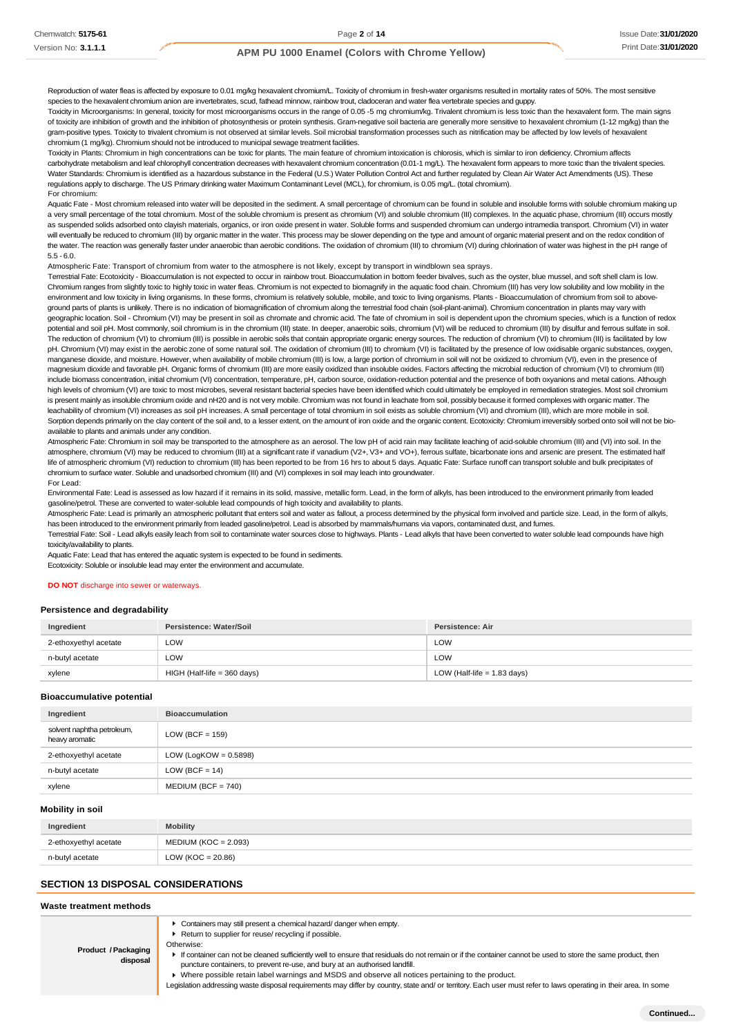Reproduction of water fleas is affected by exposure to 0.01 mg/kg hexavalent chromium/L. Toxicity of chromium in fresh-water organisms resulted in mortality rates of 50%. The most sensitive species to the hexavalent chromium anion are invertebrates, scud, fathead minnow, rainbow trout, cladoceran and water flea vertebrate species and quppy

Toxicity in Microorganisms: In general, toxicity for most microorganisms occurs in the range of 0.05 -5 mg chromium/kg. Trivalent chromium is less toxic than the hexavalent form. The main signs of toxicity are inhibition of growth and the inhibition of photosynthesis or protein synthesis. Gram-negative soil bacteria are generally more sensitive to hexavalent chromium (1-12 mg/kg) than the gram-positive types. Toxicity to trivalent chromium is not observed at similar levels. Soil microbial transformation processes such as nitrification may be affected by low levels of hexavalent chromium (1 mg/kg). Chromium should not be introduced to municipal sewage treatment facilities.

Toxicity in Plants: Chromium in high concentrations can be toxic for plants. The main feature of chromium intoxication is chlorosis, which is similar to iron deficiency. Chromium affects carbohydrate metabolism and leaf chlorophyll concentration decreases with hexavalent chromium concentration (0.01-1 mg/L). The hexavalent form appears to more toxic than the trivalent species. Water Standards: Chromium is identified as a hazardous substance in the Federal (U.S.) Water Pollution Control Act and further regulated by Clean Air Water Act Amendments (US). These regulations apply to discharge. The US Primary drinking water Maximum Contaminant Level (MCL), for chromium, is 0.05 mg/L. (total chromium). For chromium:

Aquatic Fate - Most chromium released into water will be deposited in the sediment. A small percentage of chromium can be found in soluble and insoluble forms with soluble chromium making up a very small percentage of the total chromium. Most of the soluble chromium is present as chromium (VI) and soluble chromium (III) complexes. In the aquatic phase, chromium (III) occurs mostly as suspended solids adsorbed onto clayish materials, organics, or iron oxide present in water. Soluble forms and suspended chromium can undergo intramedia transport. Chromium (VI) in water will eventually be reduced to chromium (III) by organic matter in the water. This process may be slower depending on the type and amount of organic material present and on the redox condition of the water. The reaction was generally faster under anaerobic than aerobic conditions. The oxidation of chromium (III) to chromium (VI) during chlorination of water was highest in the pH range of 5.5 - 6.0.

Atmospheric Fate: Transport of chromium from water to the atmosphere is not likely, except by transport in windblown sea sprays.

Terrestrial Fate: Ecotoxicity - Bioaccumulation is not expected to occur in rainbow trout. Bioaccumulation in bottom feeder bivalves, such as the oyster, blue mussel, and soft shell clam is low. Chromium ranges from slightly toxic to highly toxic in water fleas. Chromium is not expected to biomagnify in the aquatic food chain. Chromium (III) has very low solubility and low mobility in the environment and low toxicity in living organisms. In these forms, chromium is relatively soluble, mobile, and toxic to living organisms. Plants - Bioaccumulation of chromium from soil to above ground parts of plants is unlikely. There is no indication of biomagnification of chromium along the terrestrial food chain (soil-plant-animal). Chromium concentration in plants may vary with geographic location. Soil - Chromium (VI) may be present in soil as chromate and chromic acid. The fate of chromium in soil is dependent upon the chromium species, which is a function of redox potential and soil pH. Most commonly, soil chromium is in the chromium (III) state. In deeper, anaerobic soils, chromium (VI) will be reduced to chromium (III) by disulfur and ferrous sulfate in soil. The reduction of chromium (VI) to chromium (III) is possible in aerobic soils that contain appropriate organic energy sources. The reduction of chromium (VI) to chromium (III) is facilitated by low pH. Chromium (VI) may exist in the aerobic zone of some natural soil. The oxidation of chromium (III) to chromium (VI) is facilitated by the presence of low oxidisable organic substances, oxygen, manganese dioxide, and moisture. However, when availability of mobile chromium (III) is low, a large portion of chromium in soil will not be oxidized to chromium (VI), even in the presence of magnesium dioxide and favorable pH. Organic forms of chromium (III) are more easily oxidized than insoluble oxides. Factors affecting the microbial reduction of chromium (VI) to chromium (III) include biomass concentration, initial chromium (VI) concentration, temperature, pH, carbon source, oxidation-reduction potential and the presence of both oxyanions and metal cations. Although high levels of chromium (VI) are toxic to most microbes, several resistant bacterial species have been identified which could ultimately be employed in remediation strategies. Most soil chromium is present mainly as insoluble chromium oxide and nH20 and is not very mobile. Chromium was not found in leachate from soil, possibly because it formed complexes with organic matter. The leachability of chromium (VI) increases as soil pH increases. A small percentage of total chromium in soil exists as soluble chromium (VI) and chromium (III), which are more mobile in soil. Sorption depends primarily on the clay content of the soil and, to a lesser extent, on the amount of iron oxide and the organic content. Ecotoxicity: Chromium irreversibly sorbed onto soil will not be bioavailable to plants and animals under any condition.

Atmospheric Fate: Chromium in soil may be transported to the atmosphere as an aerosol. The low pH of acid rain may facilitate leaching of acid-soluble chromium (III) and (VI) into soil. In the atmosphere, chromium (VI) may be reduced to chromium (III) at a significant rate if vanadium (V2+, V3+ and VO+), ferrous sulfate, bicarbonate ions and arsenic are present. The estimated half life of atmospheric chromium (VI) reduction to chromium (III) has been reported to be from 16 hrs to about 5 days. Aquatic Fate: Surface runoff can transport soluble and bulk precipitates of chromium to surface water. Soluble and unadsorbed chromium (III) and (VI) complexes in soil may leach into groundwater. For Lead:

Environmental Fate: Lead is assessed as low hazard if it remains in its solid, massive, metallic form. Lead, in the form of alkyls, has been introduced to the environment primarily from leaded gasoline/petrol. These are converted to water-soluble lead compounds of high toxicity and availability to plants.

Atmospheric Fate: Lead is primarily an atmospheric pollutant that enters soil and water as fallout, a process determined by the physical form involved and particle size. Lead, in the form of alkyls, has been introduced to the environment primarily from leaded gasoline/petrol. Lead is absorbed by mammals/humans via vapors, contaminated dust, and fumes

Terrestrial Fate: Soil - Lead alkyls easily leach from soil to contaminate water sources close to highways. Plants - Lead alkyls that have been converted to water soluble lead compounds have high toxicity/availability to plants.

Aquatic Fate: Lead that has entered the aquatic system is expected to be found in sediments.

Ecotoxicity: Soluble or insoluble lead may enter the environment and accumulate.

#### **DO NOT** discharge into sewer or waterways.

#### **Persistence and degradability**

| Ingredient            | Persistence: Water/Soil     | Persistence: Air              |
|-----------------------|-----------------------------|-------------------------------|
| 2-ethoxyethyl acetate | LOW                         | LOW                           |
| n-butyl acetate       | LOW                         | LOW                           |
| xylene                | HIGH (Half-life = 360 days) | LOW (Half-life $= 1.83$ days) |

#### **Bioaccumulative potential**

| Ingredient                                   | <b>Bioaccumulation</b>   |
|----------------------------------------------|--------------------------|
| solvent naphtha petroleum,<br>heavy aromatic | LOW (BCF = $159$ )       |
| 2-ethoxyethyl acetate                        | LOW (LogKOW = $0.5898$ ) |
| n-butyl acetate                              | $LOW (BCF = 14)$         |
| xylene                                       | $MEDIUM (BCF = 740)$     |

#### **Mobility in soil**

| Ingredient            | Mobility               |
|-----------------------|------------------------|
| 2-ethoxyethyl acetate | $MEDIUM (KOC = 2.093)$ |
| n-butyl acetate       | LOW ( $KOC = 20.86$ )  |

### **SECTION 13 DISPOSAL CONSIDERATIONS**

#### **Waste treatment methods**

Containers may still present a chemical hazard/ danger when empty.

▶ Return to supplier for reuse/ recycling if possible.

**Product /Packaging disposal** Otherwise:

If container can not be cleaned sufficiently well to ensure that residuals do not remain or if the container cannot be used to store the same product, then puncture containers, to prevent re-use, and bury at an authorised landfill.

Where possible retain label warnings and MSDS and observe all notices pertaining to the product.

Legislation addressing waste disposal requirements may differ by country, state and/ or territory. Each user must refer to laws operating in their area. In some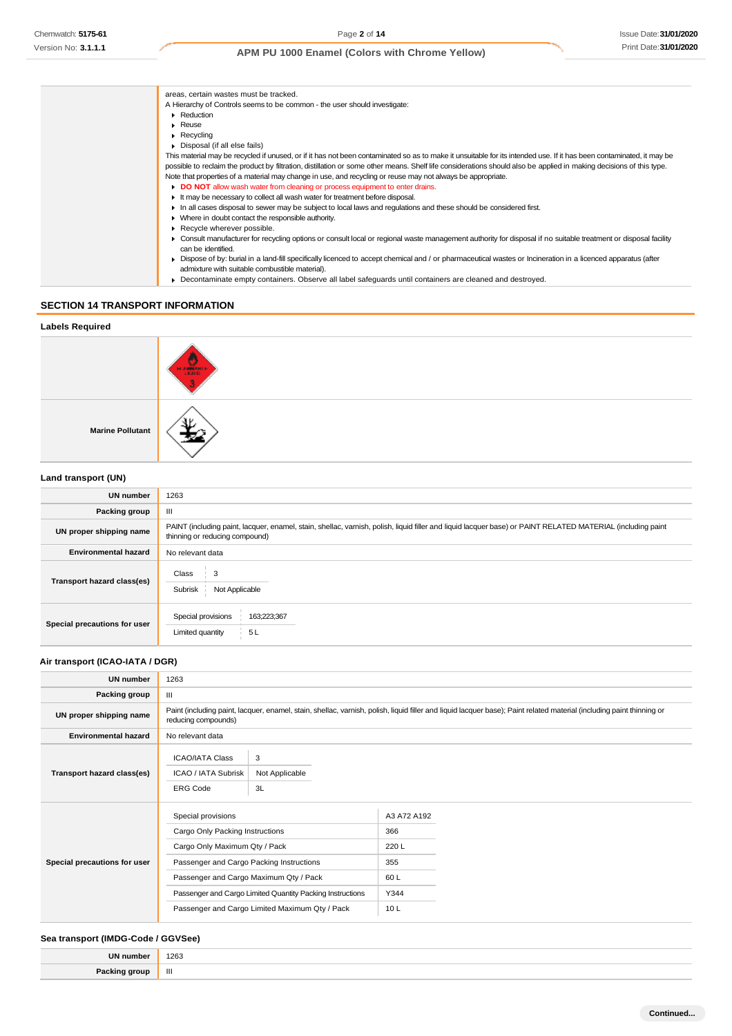| areas, certain wastes must be tracked.                                                                                                                                                |
|---------------------------------------------------------------------------------------------------------------------------------------------------------------------------------------|
| A Hierarchy of Controls seems to be common - the user should investigate:                                                                                                             |
| Reduction                                                                                                                                                                             |
| $\triangleright$ Reuse                                                                                                                                                                |
| $\triangleright$ Recycling                                                                                                                                                            |
| • Disposal (if all else fails)                                                                                                                                                        |
| This material may be recycled if unused, or if it has not been contaminated so as to make it unsuitable for its intended use. If it has been contaminated, it may be                  |
| possible to reclaim the product by filtration, distillation or some other means. Shelf life considerations should also be applied in making decisions of this type.                   |
| Note that properties of a material may change in use, and recycling or reuse may not always be appropriate.                                                                           |
| DO NOT allow wash water from cleaning or process equipment to enter drains.                                                                                                           |
| If may be necessary to collect all wash water for treatment before disposal.                                                                                                          |
| In all cases disposal to sewer may be subject to local laws and regulations and these should be considered first.                                                                     |
| • Where in doubt contact the responsible authority.                                                                                                                                   |
| Recycle wherever possible.                                                                                                                                                            |
| ► Consult manufacturer for recycling options or consult local or regional waste management authority for disposal if no suitable treatment or disposal facility<br>can be identified. |
| • Dispose of by: burial in a land-fill specifically licenced to accept chemical and / or pharmaceutical wastes or Incineration in a licenced apparatus (after                         |
| admixture with suitable combustible material).                                                                                                                                        |
| Decontaminate empty containers. Observe all label safeguards until containers are cleaned and destroyed.                                                                              |
|                                                                                                                                                                                       |

# **SECTION 14 TRANSPORT INFORMATION**

| <b>Labels Required</b>  |                               |
|-------------------------|-------------------------------|
|                         | <b>HARMAN</b><br><b>LIGHT</b> |
| <b>Marine Pollutant</b> |                               |
| Land transport (UN)     |                               |

| <b>UN number</b>             | 1263                                                                                                                                                                                          |  |
|------------------------------|-----------------------------------------------------------------------------------------------------------------------------------------------------------------------------------------------|--|
| Packing group                | Ш                                                                                                                                                                                             |  |
| UN proper shipping name      | PAINT (including paint, lacquer, enamel, stain, shellac, varnish, polish, liquid filler and liquid lacquer base) or PAINT RELATED MATERIAL (including paint<br>thinning or reducing compound) |  |
| <b>Environmental hazard</b>  | No relevant data                                                                                                                                                                              |  |
| Transport hazard class(es)   | Class<br>3<br>Subrisk<br>Not Applicable                                                                                                                                                       |  |
| Special precautions for user | Special provisions<br>163;223;367<br>Limited quantity<br>5L                                                                                                                                   |  |

# **Air transport (ICAO-IATA / DGR)**

| <b>UN number</b>             | 1263                                                                                                                                                                                                                                                                                        |  |                                                         |  |
|------------------------------|---------------------------------------------------------------------------------------------------------------------------------------------------------------------------------------------------------------------------------------------------------------------------------------------|--|---------------------------------------------------------|--|
| Packing group                | Ш                                                                                                                                                                                                                                                                                           |  |                                                         |  |
| UN proper shipping name      | Paint (including paint, lacquer, enamel, stain, shellac, varnish, polish, liquid filler and liquid lacquer base); Paint related material (including paint thinning or<br>reducing compounds)                                                                                                |  |                                                         |  |
| <b>Environmental hazard</b>  | No relevant data                                                                                                                                                                                                                                                                            |  |                                                         |  |
| Transport hazard class(es)   | 3<br><b>ICAO/IATA Class</b><br>ICAO / IATA Subrisk<br>Not Applicable<br><b>ERG Code</b><br>3L                                                                                                                                                                                               |  |                                                         |  |
| Special precautions for user | Special provisions<br>Cargo Only Packing Instructions<br>Cargo Only Maximum Qty / Pack<br>Passenger and Cargo Packing Instructions<br>Passenger and Cargo Maximum Qty / Pack<br>Passenger and Cargo Limited Quantity Packing Instructions<br>Passenger and Cargo Limited Maximum Qty / Pack |  | A3 A72 A192<br>366<br>220L<br>355<br>60L<br>Y344<br>10L |  |

### **Sea transport (IMDG-Code / GGVSee)**

| <b>IIN numl</b> | 1263<br>$\sim$ $\sim$ |
|-----------------|-----------------------|
| Dock            | Ш                     |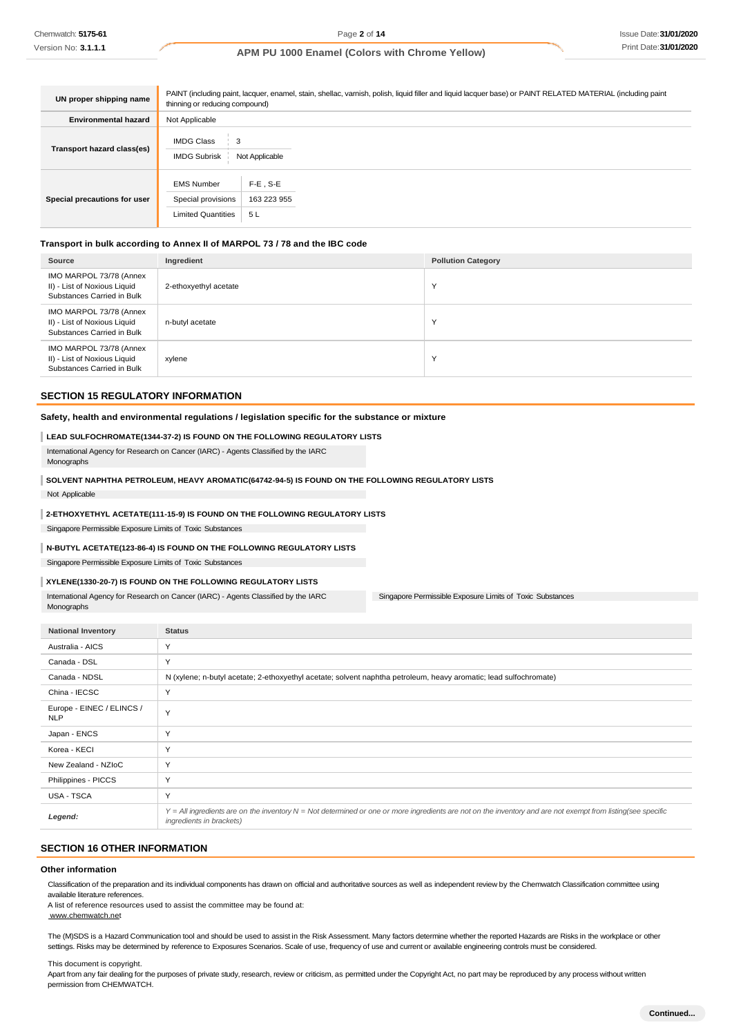| UN proper shipping name      | PAINT (including paint, lacquer, enamel, stain, shellac, varnish, polish, liquid filler and liquid lacquer base) or PAINT RELATED MATERIAL (including paint<br>thinning or reducing compound) |                                   |  |
|------------------------------|-----------------------------------------------------------------------------------------------------------------------------------------------------------------------------------------------|-----------------------------------|--|
| <b>Environmental hazard</b>  | Not Applicable                                                                                                                                                                                |                                   |  |
| Transport hazard class(es)   | <b>IMDG Class</b><br>3<br><b>IMDG Subrisk</b><br>Not Applicable                                                                                                                               |                                   |  |
| Special precautions for user | <b>EMS Number</b><br>Special provisions<br><b>Limited Quantities</b>                                                                                                                          | $F-E$ , S-E<br>163 223 955<br>5 L |  |

### **Transport in bulk according to Annex II of MARPOL 73 / 78 and the IBC code**

| Source                                                                                | Ingredient            | <b>Pollution Category</b> |
|---------------------------------------------------------------------------------------|-----------------------|---------------------------|
| IMO MARPOL 73/78 (Annex<br>II) - List of Noxious Liquid<br>Substances Carried in Bulk | 2-ethoxyethyl acetate | $\checkmark$              |
| IMO MARPOL 73/78 (Annex<br>II) - List of Noxious Liquid<br>Substances Carried in Bulk | n-butyl acetate       | $\checkmark$              |
| IMO MARPOL 73/78 (Annex<br>II) - List of Noxious Liquid<br>Substances Carried in Bulk | xylene                | $\checkmark$              |

#### **SECTION 15 REGULATORY INFORMATION**

#### **Safety, health and environmental regulations / legislation specific for the substance or mixture**

#### **LEAD SULFOCHROMATE(1344-37-2) IS FOUND ON THE FOLLOWING REGULATORY LISTS**

International Agency for Research on Cancer (IARC) - Agents Classified by the IARC Monographs

# **SOLVENT NAPHTHA PETROLEUM, HEAVY AROMATIC(64742-94-5) IS FOUND ON THE FOLLOWING REGULATORY LISTS**

Not Applicable

#### **2-ETHOXYETHYL ACETATE(111-15-9) IS FOUND ON THE FOLLOWING REGULATORY LISTS**

Singapore Permissible Exposure Limits of Toxic Substances

#### **N-BUTYL ACETATE(123-86-4) IS FOUND ON THE FOLLOWING REGULATORY LISTS**

Singapore Permissible Exposure Limits of Toxic Substances

#### **XYLENE(1330-20-7) IS FOUND ON THE FOLLOWING REGULATORY LISTS**

International Agency for Research on Cancer (IARC) - Agents Classified by the IARC Monographs

Singapore Permissible Exposure Limits of Toxic Substances

| <b>National Inventory</b>               | <b>Status</b>                                                                                                                                                                                   |
|-----------------------------------------|-------------------------------------------------------------------------------------------------------------------------------------------------------------------------------------------------|
| Australia - AICS                        | Y                                                                                                                                                                                               |
| Canada - DSL                            | Y                                                                                                                                                                                               |
| Canada - NDSL                           | N (xylene; n-butyl acetate; 2-ethoxyethyl acetate; solvent naphtha petroleum, heavy aromatic; lead sulfochromate)                                                                               |
| China - IECSC                           | Y                                                                                                                                                                                               |
| Europe - EINEC / ELINCS /<br><b>NLP</b> | Y                                                                                                                                                                                               |
| Japan - ENCS                            | Y                                                                                                                                                                                               |
| Korea - KECI                            | Y                                                                                                                                                                                               |
| New Zealand - NZIoC                     | Y                                                                                                                                                                                               |
| Philippines - PICCS                     | Y                                                                                                                                                                                               |
| USA - TSCA                              | Y                                                                                                                                                                                               |
| Legend:                                 | Y = All ingredients are on the inventory N = Not determined or one or more ingredients are not on the inventory and are not exempt from listing(see specific<br><i>ingredients in brackets)</i> |

#### **SECTION 16 OTHER INFORMATION**

#### **Other information**

Classification of the preparation and its individual components has drawn on official and authoritative sources as well as independent review by the Chemwatch Classification committee using available literature references.

A list of reference resources used to assist the committee may be found at:

[www.chemwatch.net](http://www.chemwatch.net/)

The (M)SDS is a Hazard Communication tool and should be used to assist in the Risk Assessment. Many factors determine whether the reported Hazards are Risks in the workplace or other settings. Risks may be determined by reference to Exposures Scenarios. Scale of use, frequency of use and current or available engineering controls must be considered.

This document is copyright.

Apart from any fair dealing for the purposes of private study, research, review or criticism, as permitted under the Copyright Act, no part may be reproduced by any process without written permission from CHEMWATCH.